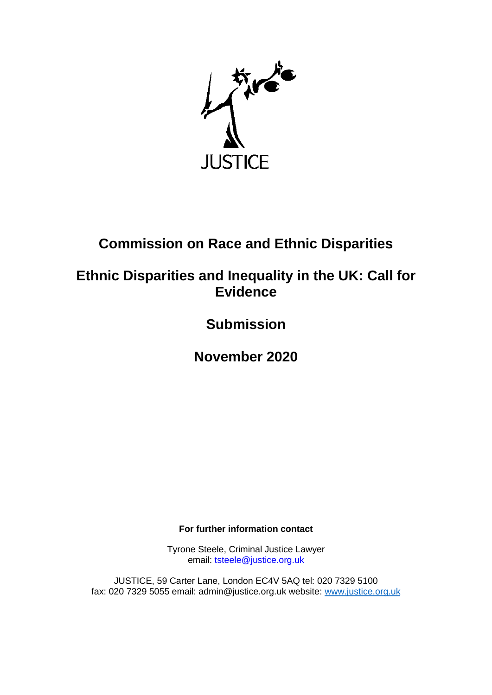

# **Commission on Race and Ethnic Disparities**

# **Ethnic Disparities and Inequality in the UK: Call for Evidence**

**Submission**

**November 2020**

**For further information contact**

Tyrone Steele, Criminal Justice Lawyer email: tsteele@justice.org.uk

JUSTICE, 59 Carter Lane, London EC4V 5AQ tel: 020 7329 5100 fax: 020 7329 5055 email: admin@justice.org.uk website: [www.justice.org.uk](http://www.justice.org.uk/)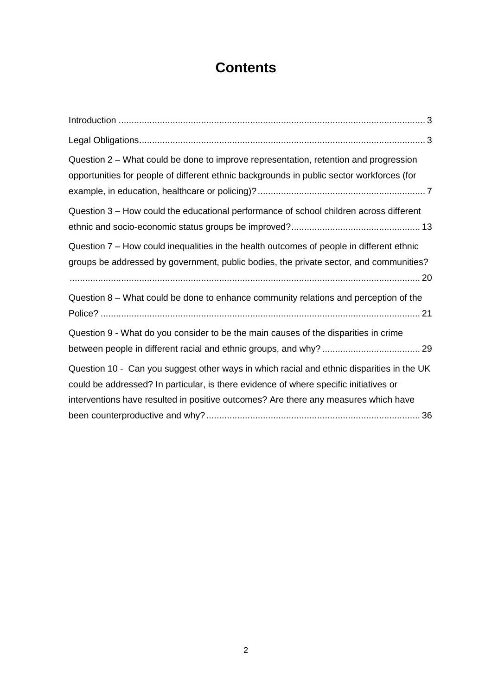# **Contents**

| Question 2 – What could be done to improve representation, retention and progression<br>opportunities for people of different ethnic backgrounds in public sector workforces (for                                                                                         |
|---------------------------------------------------------------------------------------------------------------------------------------------------------------------------------------------------------------------------------------------------------------------------|
| Question 3 - How could the educational performance of school children across different                                                                                                                                                                                    |
| Question 7 – How could inequalities in the health outcomes of people in different ethnic<br>groups be addressed by government, public bodies, the private sector, and communities?                                                                                        |
| Question 8 - What could be done to enhance community relations and perception of the                                                                                                                                                                                      |
| Question 9 - What do you consider to be the main causes of the disparities in crime                                                                                                                                                                                       |
| Question 10 - Can you suggest other ways in which racial and ethnic disparities in the UK<br>could be addressed? In particular, is there evidence of where specific initiatives or<br>interventions have resulted in positive outcomes? Are there any measures which have |
|                                                                                                                                                                                                                                                                           |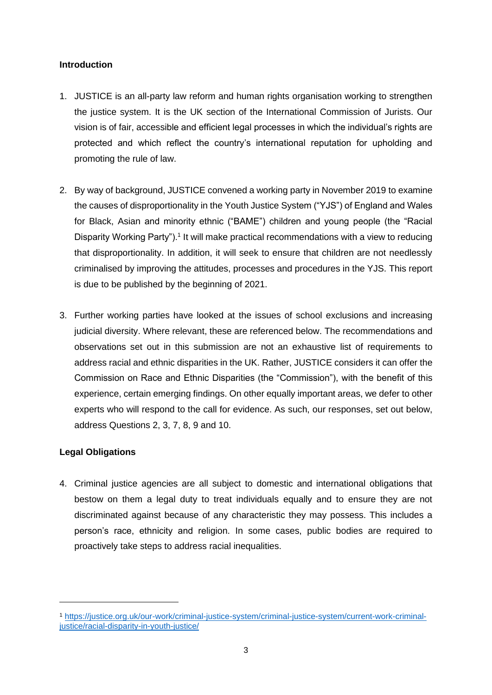# <span id="page-2-0"></span>**Introduction**

- 1. JUSTICE is an all-party law reform and human rights organisation working to strengthen the justice system. It is the UK section of the International Commission of Jurists. Our vision is of fair, accessible and efficient legal processes in which the individual's rights are protected and which reflect the country's international reputation for upholding and promoting the rule of law.
- 2. By way of background, JUSTICE convened a working party in November 2019 to examine the causes of disproportionality in the Youth Justice System ("YJS") of England and Wales for Black, Asian and minority ethnic ("BAME") children and young people (the "Racial Disparity Working Party").<sup>1</sup> It will make practical recommendations with a view to reducing that disproportionality. In addition, it will seek to ensure that children are not needlessly criminalised by improving the attitudes, processes and procedures in the YJS. This report is due to be published by the beginning of 2021.
- 3. Further working parties have looked at the issues of school exclusions and increasing judicial diversity. Where relevant, these are referenced below. The recommendations and observations set out in this submission are not an exhaustive list of requirements to address racial and ethnic disparities in the UK. Rather, JUSTICE considers it can offer the Commission on Race and Ethnic Disparities (the "Commission"), with the benefit of this experience, certain emerging findings. On other equally important areas, we defer to other experts who will respond to the call for evidence. As such, our responses, set out below, address Questions 2, 3, 7, 8, 9 and 10.

# <span id="page-2-1"></span>**Legal Obligations**

4. Criminal justice agencies are all subject to domestic and international obligations that bestow on them a legal duty to treat individuals equally and to ensure they are not discriminated against because of any characteristic they may possess. This includes a person's race, ethnicity and religion. In some cases, public bodies are required to proactively take steps to address racial inequalities.

<sup>1</sup> [https://justice.org.uk/our-work/criminal-justice-system/criminal-justice-system/current-work-criminal](https://justice.org.uk/our-work/criminal-justice-system/criminal-justice-system/current-work-criminal-justice/racial-disparity-in-youth-justice/)[justice/racial-disparity-in-youth-justice/](https://justice.org.uk/our-work/criminal-justice-system/criminal-justice-system/current-work-criminal-justice/racial-disparity-in-youth-justice/)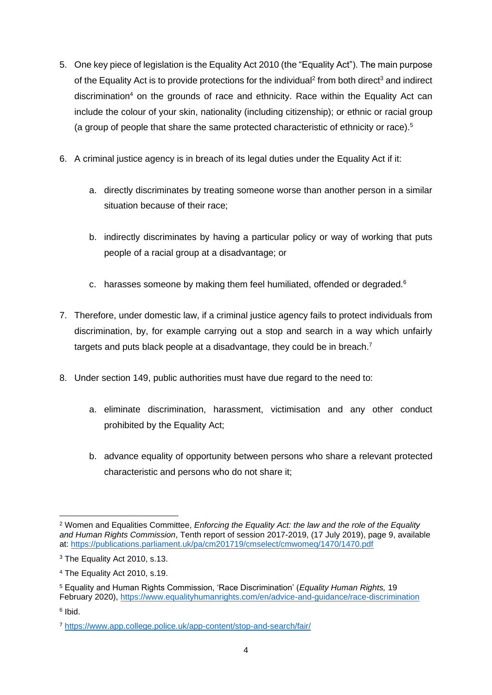- 5. One key piece of legislation is the Equality Act 2010 (the "Equality Act"). The main purpose of the Equality Act is to provide protections for the individual<sup>2</sup> from both direct<sup>3</sup> and indirect discrimination<sup>4</sup> on the grounds of race and ethnicity. Race within the Equality Act can include the colour of your skin, nationality (including citizenship); or ethnic or racial group (a group of people that share the same protected characteristic of ethnicity or race).<sup>5</sup>
- 6. A criminal justice agency is in breach of its legal duties under the Equality Act if it:
	- a. directly discriminates by treating someone worse than another person in a similar situation because of their race;
	- b. indirectly discriminates by having a particular policy or way of working that puts people of a racial group at a disadvantage; or
	- c. harasses someone by making them feel humiliated, offended or degraded.<sup>6</sup>
- 7. Therefore, under domestic law, if a criminal justice agency fails to protect individuals from discrimination, by, for example carrying out a stop and search in a way which unfairly targets and puts black people at a disadvantage, they could be in breach.<sup>7</sup>
- 8. Under section 149, public authorities must have due regard to the need to:
	- a. eliminate discrimination, harassment, victimisation and any other conduct prohibited by the Equality Act;
	- b. advance equality of opportunity between persons who share a relevant protected characteristic and persons who do not share it;

<sup>2</sup> Women and Equalities Committee, *Enforcing the Equality Act: the law and the role of the Equality and Human Rights Commission*, Tenth report of session 2017-2019, (17 July 2019), page 9, available at:<https://publications.parliament.uk/pa/cm201719/cmselect/cmwomeq/1470/1470.pdf>

<sup>3</sup> The Equality Act 2010, s.13.

<sup>4</sup> The Equality Act 2010, s.19.

<sup>5</sup> Equality and Human Rights Commission, 'Race Discrimination' (*Equality Human Rights,* 19 February 2020),<https://www.equalityhumanrights.com/en/advice-and-guidance/race-discrimination>

<sup>6</sup> Ibid.

<sup>7</sup> <https://www.app.college.police.uk/app-content/stop-and-search/fair/>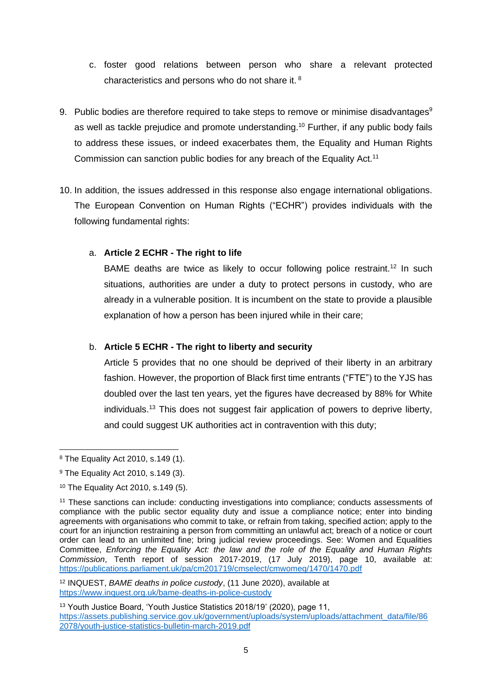- c. foster good relations between person who share a relevant protected characteristics and persons who do not share it. <sup>8</sup>
- 9. Public bodies are therefore required to take steps to remove or minimise disadvantages<sup>9</sup> as well as tackle prejudice and promote understanding.<sup>10</sup> Further, if any public body fails to address these issues, or indeed exacerbates them, the Equality and Human Rights Commission can sanction public bodies for any breach of the Equality Act.<sup>11</sup>
- 10. In addition, the issues addressed in this response also engage international obligations. The European Convention on Human Rights ("ECHR") provides individuals with the following fundamental rights:

# a. **Article 2 ECHR - The right to life**

BAME deaths are twice as likely to occur following police restraint.<sup>12</sup> In such situations, authorities are under a duty to protect persons in custody, who are already in a vulnerable position. It is incumbent on the state to provide a plausible explanation of how a person has been injured while in their care;

# b. **Article 5 ECHR - The right to liberty and security**

Article 5 provides that no one should be deprived of their liberty in an arbitrary fashion. However, the proportion of Black first time entrants ("FTE") to the YJS has doubled over the last ten years, yet the figures have decreased by 88% for White individuals. <sup>13</sup> This does not suggest fair application of powers to deprive liberty, and could suggest UK authorities act in contravention with this duty;

<sup>12</sup> INQUEST, *BAME deaths in police custody*, (11 June 2020), available at <https://www.inquest.org.uk/bame-deaths-in-police-custody>

<sup>13</sup> Youth Justice Board, 'Youth Justice Statistics 2018/19' (2020), page 11, [https://assets.publishing.service.gov.uk/government/uploads/system/uploads/attachment\\_data/file/86](https://assets.publishing.service.gov.uk/government/uploads/system/uploads/attachment_data/file/862078/youth-justice-statistics-bulletin-march-2019.pdf) [2078/youth-justice-statistics-bulletin-march-2019.pdf](https://assets.publishing.service.gov.uk/government/uploads/system/uploads/attachment_data/file/862078/youth-justice-statistics-bulletin-march-2019.pdf)

<sup>8</sup> The Equality Act 2010, s.149 (1).

<sup>9</sup> The Equality Act 2010, s.149 (3).

<sup>10</sup> The Equality Act 2010, s.149 (5).

<sup>11</sup> These sanctions can include: conducting investigations into compliance; conducts assessments of compliance with the public sector equality duty and issue a compliance notice; enter into binding agreements with organisations who commit to take, or refrain from taking, specified action; apply to the court for an injunction restraining a person from committing an unlawful act; breach of a notice or court order can lead to an unlimited fine; bring judicial review proceedings. See: Women and Equalities Committee, *Enforcing the Equality Act: the law and the role of the Equality and Human Rights Commission*, Tenth report of session 2017-2019, (17 July 2019), page 10, available at: <https://publications.parliament.uk/pa/cm201719/cmselect/cmwomeq/1470/1470.pdf>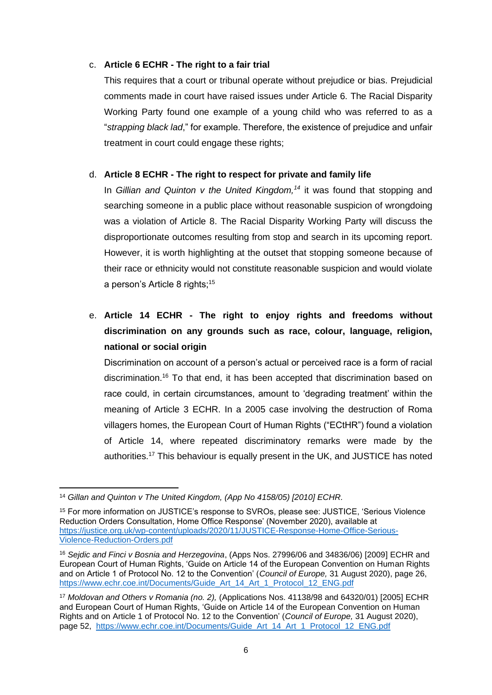# c. **Article 6 ECHR - The right to a fair trial**

This requires that a court or tribunal operate without prejudice or bias. Prejudicial comments made in court have raised issues under Article 6. The Racial Disparity Working Party found one example of a young child who was referred to as a "*strapping black lad*," for example. Therefore, the existence of prejudice and unfair treatment in court could engage these rights;

# d. **Article 8 ECHR - The right to respect for private and family life**

In *Gillian and Quinton v the United Kingdom,<sup>14</sup>* it was found that stopping and searching someone in a public place without reasonable suspicion of wrongdoing was a violation of Article 8. The Racial Disparity Working Party will discuss the disproportionate outcomes resulting from stop and search in its upcoming report. However, it is worth highlighting at the outset that stopping someone because of their race or ethnicity would not constitute reasonable suspicion and would violate a person's Article 8 rights;<sup>15</sup>

e. **Article 14 ECHR - The right to enjoy rights and freedoms without discrimination on any grounds such as race, colour, language, religion, national or social origin** 

Discrimination on account of a person's actual or perceived race is a form of racial discrimination.<sup>16</sup> To that end, it has been accepted that discrimination based on race could, in certain circumstances, amount to 'degrading treatment' within the meaning of Article 3 ECHR. In a 2005 case involving the destruction of Roma villagers homes, the European Court of Human Rights ("ECtHR") found a violation of Article 14, where repeated discriminatory remarks were made by the authorities.<sup>17</sup> This behaviour is equally present in the UK, and JUSTICE has noted

<sup>14</sup> *Gillan and Quinton v The United Kingdom, (App No 4158/05) [2010] ECHR.*

<sup>15</sup> For more information on JUSTICE's response to SVROs, please see: JUSTICE, 'Serious Violence Reduction Orders Consultation, Home Office Response' (November 2020), available at [https://justice.org.uk/wp-content/uploads/2020/11/JUSTICE-Response-Home-Office-Serious-](https://justice.org.uk/wp-content/uploads/2020/11/JUSTICE-Response-Home-Office-Serious-Violence-Reduction-Orders.pdf)[Violence-Reduction-Orders.pdf](https://justice.org.uk/wp-content/uploads/2020/11/JUSTICE-Response-Home-Office-Serious-Violence-Reduction-Orders.pdf) 

<sup>16</sup> *Sejdic and Finci v Bosnia and Herzegovina*, (Apps Nos. 27996/06 and 34836/06) [2009] ECHR and European Court of Human Rights, 'Guide on Article 14 of the European Convention on Human Rights and on Article 1 of Protocol No. 12 to the Convention' (*Council of Europe,* 31 August 2020), page 26, [https://www.echr.coe.int/Documents/Guide\\_Art\\_14\\_Art\\_1\\_Protocol\\_12\\_ENG.pdf](https://www.echr.coe.int/Documents/Guide_Art_14_Art_1_Protocol_12_ENG.pdf)

<sup>17</sup> *Moldovan and Others v Romania (no. 2),* (Applications Nos. 41138/98 and 64320/01) [2005] ECHR and European Court of Human Rights, 'Guide on Article 14 of the European Convention on Human Rights and on Article 1 of Protocol No. 12 to the Convention' (*Council of Europe,* 31 August 2020), page 52, https://www.echr.coe.int/Documents/Guide\_Art\_14\_Art\_1\_Protocol\_12\_ENG.pdf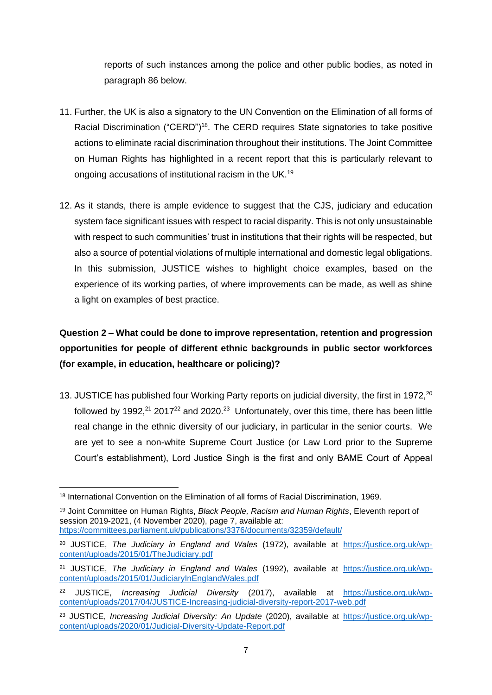reports of such instances among the police and other public bodies, as noted in paragraph [86](#page-35-1) below.

- 11. Further, the UK is also a signatory to the UN Convention on the Elimination of all forms of Racial Discrimination ("CERD")<sup>18</sup>. The CERD requires State signatories to take positive actions to eliminate racial discrimination throughout their institutions. The Joint Committee on Human Rights has highlighted in a recent report that this is particularly relevant to ongoing accusations of institutional racism in the UK.<sup>19</sup>
- 12. As it stands, there is ample evidence to suggest that the CJS, judiciary and education system face significant issues with respect to racial disparity. This is not only unsustainable with respect to such communities' trust in institutions that their rights will be respected, but also a source of potential violations of multiple international and domestic legal obligations. In this submission, JUSTICE wishes to highlight choice examples, based on the experience of its working parties, of where improvements can be made, as well as shine a light on examples of best practice.

# <span id="page-6-0"></span>**Question 2 – What could be done to improve representation, retention and progression opportunities for people of different ethnic backgrounds in public sector workforces (for example, in education, healthcare or policing)?**

13. JUSTICE has published four Working Party reports on judicial diversity, the first in 1972,<sup>20</sup> followed by 1992,<sup>21</sup> 2017<sup>22</sup> and 2020.<sup>23</sup> Unfortunately, over this time, there has been little real change in the ethnic diversity of our judiciary, in particular in the senior courts. We are yet to see a non-white Supreme Court Justice (or Law Lord prior to the Supreme Court's establishment), Lord Justice Singh is the first and only BAME Court of Appeal

<sup>18</sup> International Convention on the Elimination of all forms of Racial Discrimination, 1969.

<sup>19</sup> Joint Committee on Human Rights, *Black People, Racism and Human Rights*, Eleventh report of session 2019-2021, (4 November 2020), page 7, available at: <https://committees.parliament.uk/publications/3376/documents/32359/default/>

<sup>20</sup> JUSTICE, *The Judiciary in England and Wales* (1972), available at [https://justice.org.uk/wp](https://justice.org.uk/wp-content/uploads/2015/01/TheJudiciary.pdf)[content/uploads/2015/01/TheJudiciary.pdf](https://justice.org.uk/wp-content/uploads/2015/01/TheJudiciary.pdf)

<sup>21</sup> JUSTICE, *The Judiciary in England and Wales* (1992), available at [https://justice.org.uk/wp](https://justice.org.uk/wp-content/uploads/2015/01/JudiciaryInEnglandWales.pdf)[content/uploads/2015/01/JudiciaryInEnglandWales.pdf](https://justice.org.uk/wp-content/uploads/2015/01/JudiciaryInEnglandWales.pdf)

<sup>22</sup> JUSTICE, *Increasing Judicial Diversity* (2017), available at [https://justice.org.uk/wp](https://justice.org.uk/wp-content/uploads/2017/04/JUSTICE-Increasing-judicial-diversity-report-2017-web.pdf)[content/uploads/2017/04/JUSTICE-Increasing-judicial-diversity-report-2017-web.pdf](https://justice.org.uk/wp-content/uploads/2017/04/JUSTICE-Increasing-judicial-diversity-report-2017-web.pdf)

<sup>23</sup> JUSTICE, *Increasing Judicial Diversity: An Update* (2020), available at [https://justice.org.uk/wp](https://justice.org.uk/wp-content/uploads/2020/01/Judicial-Diversity-Update-Report.pdf)[content/uploads/2020/01/Judicial-Diversity-Update-Report.pdf](https://justice.org.uk/wp-content/uploads/2020/01/Judicial-Diversity-Update-Report.pdf)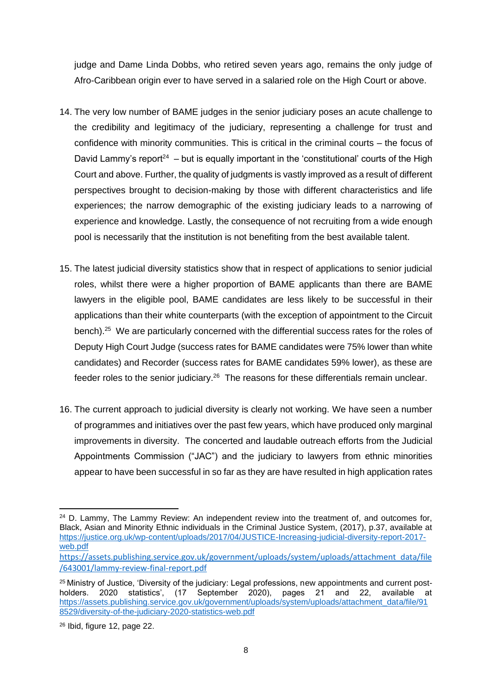judge and Dame Linda Dobbs, who retired seven years ago, remains the only judge of Afro-Caribbean origin ever to have served in a salaried role on the High Court or above.

- 14. The very low number of BAME judges in the senior judiciary poses an acute challenge to the credibility and legitimacy of the judiciary, representing a challenge for trust and confidence with minority communities. This is critical in the criminal courts – the focus of David Lammy's report<sup>24</sup> – but is equally important in the 'constitutional' courts of the High Court and above. Further, the quality of judgments is vastly improved as a result of different perspectives brought to decision-making by those with different characteristics and life experiences; the narrow demographic of the existing judiciary leads to a narrowing of experience and knowledge. Lastly, the consequence of not recruiting from a wide enough pool is necessarily that the institution is not benefiting from the best available talent.
- 15. The latest judicial diversity statistics show that in respect of applications to senior judicial roles, whilst there were a higher proportion of BAME applicants than there are BAME lawyers in the eligible pool, BAME candidates are less likely to be successful in their applications than their white counterparts (with the exception of appointment to the Circuit bench).<sup>25</sup> We are particularly concerned with the differential success rates for the roles of Deputy High Court Judge (success rates for BAME candidates were 75% lower than white candidates) and Recorder (success rates for BAME candidates 59% lower), as these are feeder roles to the senior judiciary.<sup>26</sup> The reasons for these differentials remain unclear.
- 16. The current approach to judicial diversity is clearly not working. We have seen a number of programmes and initiatives over the past few years, which have produced only marginal improvements in diversity. The concerted and laudable outreach efforts from the Judicial Appointments Commission ("JAC") and the judiciary to lawyers from ethnic minorities appear to have been successful in so far as they are have resulted in high application rates

 $24$  D. Lammy, The Lammy Review: An independent review into the treatment of, and outcomes for, Black, Asian and Minority Ethnic individuals in the Criminal Justice System, (2017), p.37, available at [https://justice.org.uk/wp-content/uploads/2017/04/JUSTICE-Increasing-judicial-diversity-report-2017](https://justice.org.uk/wp-content/uploads/2017/04/JUSTICE-Increasing-judicial-diversity-report-2017-web.pdf) [web.pdf](https://justice.org.uk/wp-content/uploads/2017/04/JUSTICE-Increasing-judicial-diversity-report-2017-web.pdf) 

[https://assets.publishing.service.gov.uk/government/uploads/system/uploads/attachment\\_data/file](https://assets.publishing.service.gov.uk/government/uploads/system/uploads/attachment_data/file/643001/lammy-review-final-report.pdf) [/643001/lammy-review-final-report.pdf](https://assets.publishing.service.gov.uk/government/uploads/system/uploads/attachment_data/file/643001/lammy-review-final-report.pdf)

<sup>&</sup>lt;sup>25</sup> Ministry of Justice, 'Diversity of the judiciary: Legal professions, new appointments and current postholders. 2020 statistics', (17 September 2020), pages 21 and 22, available at [https://assets.publishing.service.gov.uk/government/uploads/system/uploads/attachment\\_data/file/91](https://assets.publishing.service.gov.uk/government/uploads/system/uploads/attachment_data/file/918529/diversity-of-the-judiciary-2020-statistics-web.pdf) [8529/diversity-of-the-judiciary-2020-statistics-web.pdf](https://assets.publishing.service.gov.uk/government/uploads/system/uploads/attachment_data/file/918529/diversity-of-the-judiciary-2020-statistics-web.pdf)

<sup>26</sup> Ibid, figure 12, page 22.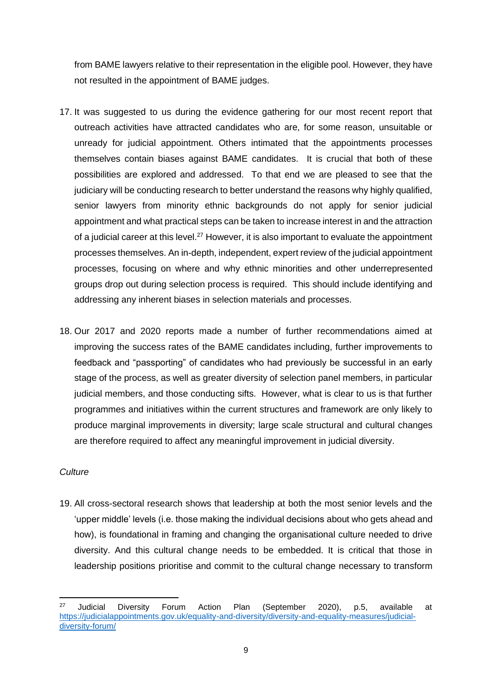from BAME lawyers relative to their representation in the eligible pool. However, they have not resulted in the appointment of BAME judges.

- 17. It was suggested to us during the evidence gathering for our most recent report that outreach activities have attracted candidates who are, for some reason, unsuitable or unready for judicial appointment. Others intimated that the appointments processes themselves contain biases against BAME candidates. It is crucial that both of these possibilities are explored and addressed. To that end we are pleased to see that the judiciary will be conducting research to better understand the reasons why highly qualified, senior lawyers from minority ethnic backgrounds do not apply for senior judicial appointment and what practical steps can be taken to increase interest in and the attraction of a judicial career at this level.<sup>27</sup> However, it is also important to evaluate the appointment processes themselves. An in-depth, independent, expert review of the judicial appointment processes, focusing on where and why ethnic minorities and other underrepresented groups drop out during selection process is required. This should include identifying and addressing any inherent biases in selection materials and processes.
- 18. Our 2017 and 2020 reports made a number of further recommendations aimed at improving the success rates of the BAME candidates including, further improvements to feedback and "passporting" of candidates who had previously be successful in an early stage of the process, as well as greater diversity of selection panel members, in particular judicial members, and those conducting sifts. However, what is clear to us is that further programmes and initiatives within the current structures and framework are only likely to produce marginal improvements in diversity; large scale structural and cultural changes are therefore required to affect any meaningful improvement in judicial diversity.

#### *Culture*

19. All cross-sectoral research shows that leadership at both the most senior levels and the 'upper middle' levels (i.e. those making the individual decisions about who gets ahead and how), is foundational in framing and changing the organisational culture needed to drive diversity. And this cultural change needs to be embedded. It is critical that those in leadership positions prioritise and commit to the cultural change necessary to transform

<sup>27</sup> Judicial Diversity Forum Action Plan (September 2020), p.5, available at [https://judicialappointments.gov.uk/equality-and-diversity/diversity-and-equality-measures/judicial](https://judicialappointments.gov.uk/equality-and-diversity/diversity-and-equality-measures/judicial-diversity-forum/)[diversity-forum/](https://judicialappointments.gov.uk/equality-and-diversity/diversity-and-equality-measures/judicial-diversity-forum/)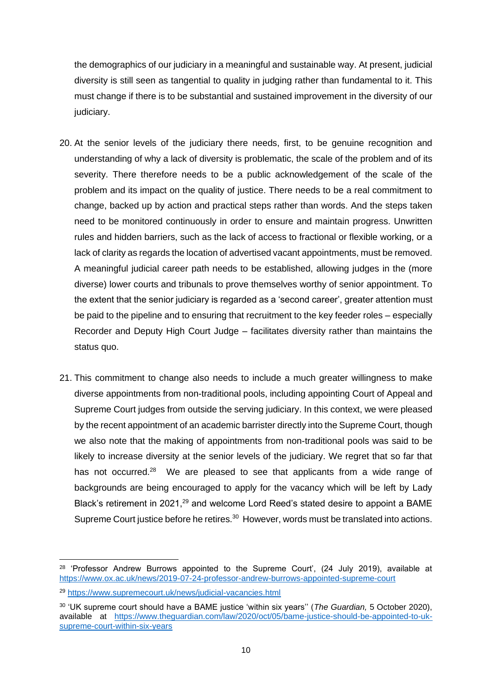the demographics of our judiciary in a meaningful and sustainable way. At present, judicial diversity is still seen as tangential to quality in judging rather than fundamental to it. This must change if there is to be substantial and sustained improvement in the diversity of our judiciary.

- 20. At the senior levels of the judiciary there needs, first, to be genuine recognition and understanding of why a lack of diversity is problematic, the scale of the problem and of its severity. There therefore needs to be a public acknowledgement of the scale of the problem and its impact on the quality of justice. There needs to be a real commitment to change, backed up by action and practical steps rather than words. And the steps taken need to be monitored continuously in order to ensure and maintain progress. Unwritten rules and hidden barriers, such as the lack of access to fractional or flexible working, or a lack of clarity as regards the location of advertised vacant appointments, must be removed. A meaningful judicial career path needs to be established, allowing judges in the (more diverse) lower courts and tribunals to prove themselves worthy of senior appointment. To the extent that the senior judiciary is regarded as a 'second career', greater attention must be paid to the pipeline and to ensuring that recruitment to the key feeder roles – especially Recorder and Deputy High Court Judge – facilitates diversity rather than maintains the status quo.
- 21. This commitment to change also needs to include a much greater willingness to make diverse appointments from non-traditional pools, including appointing Court of Appeal and Supreme Court judges from outside the serving judiciary. In this context, we were pleased by the recent appointment of an academic barrister directly into the Supreme Court, though we also note that the making of appointments from non-traditional pools was said to be likely to increase diversity at the senior levels of the judiciary. We regret that so far that has not occurred.<sup>28</sup> We are pleased to see that applicants from a wide range of backgrounds are being encouraged to apply for the vacancy which will be left by Lady Black's retirement in 2021.<sup>29</sup> and welcome Lord Reed's stated desire to appoint a BAME Supreme Court justice before he retires.<sup>30</sup> However, words must be translated into actions.

<sup>&</sup>lt;sup>28</sup> 'Professor Andrew Burrows appointed to the Supreme Court', (24 July 2019), available at <https://www.ox.ac.uk/news/2019-07-24-professor-andrew-burrows-appointed-supreme-court>

<sup>29</sup> <https://www.supremecourt.uk/news/judicial-vacancies.html>

<sup>30</sup> 'UK supreme court should have a BAME justice 'within six years'' (*The Guardian,* 5 October 2020), available at [https://www.theguardian.com/law/2020/oct/05/bame-justice-should-be-appointed-to-uk](https://www.theguardian.com/law/2020/oct/05/bame-justice-should-be-appointed-to-uk-supreme-court-within-six-years)[supreme-court-within-six-years](https://www.theguardian.com/law/2020/oct/05/bame-justice-should-be-appointed-to-uk-supreme-court-within-six-years)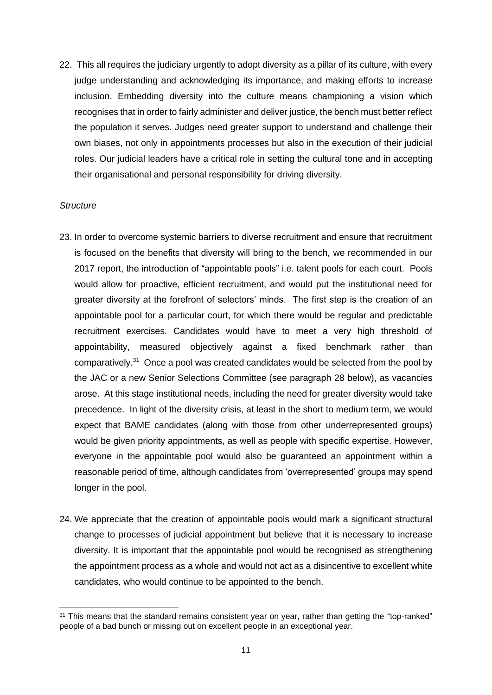22. This all requires the judiciary urgently to adopt diversity as a pillar of its culture, with every judge understanding and acknowledging its importance, and making efforts to increase inclusion. Embedding diversity into the culture means championing a vision which recognises that in order to fairly administer and deliver justice, the bench must better reflect the population it serves. Judges need greater support to understand and challenge their own biases, not only in appointments processes but also in the execution of their judicial roles. Our judicial leaders have a critical role in setting the cultural tone and in accepting their organisational and personal responsibility for driving diversity.

#### *Structure*

- 23. In order to overcome systemic barriers to diverse recruitment and ensure that recruitment is focused on the benefits that diversity will bring to the bench, we recommended in our 2017 report, the introduction of "appointable pools" i.e. talent pools for each court. Pools would allow for proactive, efficient recruitment, and would put the institutional need for greater diversity at the forefront of selectors' minds. The first step is the creation of an appointable pool for a particular court, for which there would be regular and predictable recruitment exercises. Candidates would have to meet a very high threshold of appointability, measured objectively against a fixed benchmark rather than comparatively.<sup>31</sup> Once a pool was created candidates would be selected from the pool by the JAC or a new Senior Selections Committee (see paragraph [28](#page-12-1) below), as vacancies arose. At this stage institutional needs, including the need for greater diversity would take precedence. In light of the diversity crisis, at least in the short to medium term, we would expect that BAME candidates (along with those from other underrepresented groups) would be given priority appointments, as well as people with specific expertise. However, everyone in the appointable pool would also be guaranteed an appointment within a reasonable period of time, although candidates from 'overrepresented' groups may spend longer in the pool.
- 24. We appreciate that the creation of appointable pools would mark a significant structural change to processes of judicial appointment but believe that it is necessary to increase diversity. It is important that the appointable pool would be recognised as strengthening the appointment process as a whole and would not act as a disincentive to excellent white candidates, who would continue to be appointed to the bench.

<sup>&</sup>lt;sup>31</sup> This means that the standard remains consistent year on year, rather than getting the "top-ranked" people of a bad bunch or missing out on excellent people in an exceptional year.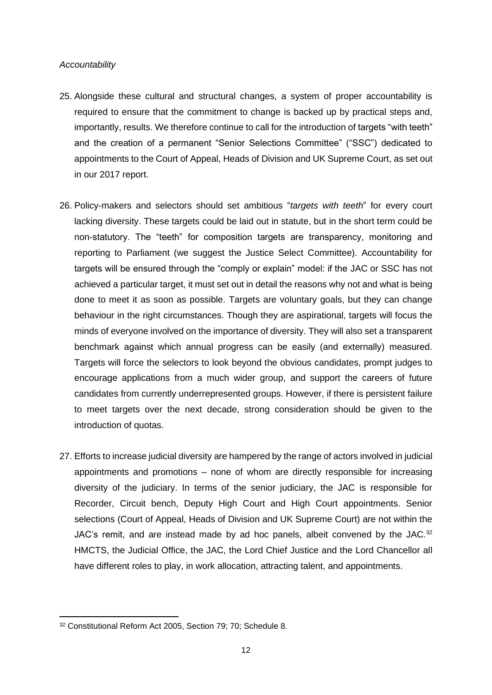#### *Accountability*

- 25. Alongside these cultural and structural changes, a system of proper accountability is required to ensure that the commitment to change is backed up by practical steps and, importantly, results. We therefore continue to call for the introduction of targets "with teeth" and the creation of a permanent "Senior Selections Committee" ("SSC") dedicated to appointments to the Court of Appeal, Heads of Division and UK Supreme Court, as set out in our 2017 report.
- 26. Policy-makers and selectors should set ambitious "*targets with teeth*" for every court lacking diversity. These targets could be laid out in statute, but in the short term could be non-statutory. The "teeth" for composition targets are transparency, monitoring and reporting to Parliament (we suggest the Justice Select Committee). Accountability for targets will be ensured through the "comply or explain" model: if the JAC or SSC has not achieved a particular target, it must set out in detail the reasons why not and what is being done to meet it as soon as possible. Targets are voluntary goals, but they can change behaviour in the right circumstances. Though they are aspirational, targets will focus the minds of everyone involved on the importance of diversity. They will also set a transparent benchmark against which annual progress can be easily (and externally) measured. Targets will force the selectors to look beyond the obvious candidates, prompt judges to encourage applications from a much wider group, and support the careers of future candidates from currently underrepresented groups. However, if there is persistent failure to meet targets over the next decade, strong consideration should be given to the introduction of quotas.
- 27. Efforts to increase judicial diversity are hampered by the range of actors involved in judicial appointments and promotions – none of whom are directly responsible for increasing diversity of the judiciary. In terms of the senior judiciary, the JAC is responsible for Recorder, Circuit bench, Deputy High Court and High Court appointments. Senior selections (Court of Appeal, Heads of Division and UK Supreme Court) are not within the JAC's remit, and are instead made by ad hoc panels, albeit convened by the JAC.<sup>32</sup> HMCTS, the Judicial Office, the JAC, the Lord Chief Justice and the Lord Chancellor all have different roles to play, in work allocation, attracting talent, and appointments.

<sup>32</sup> Constitutional Reform Act 2005, Section 79; 70; Schedule 8.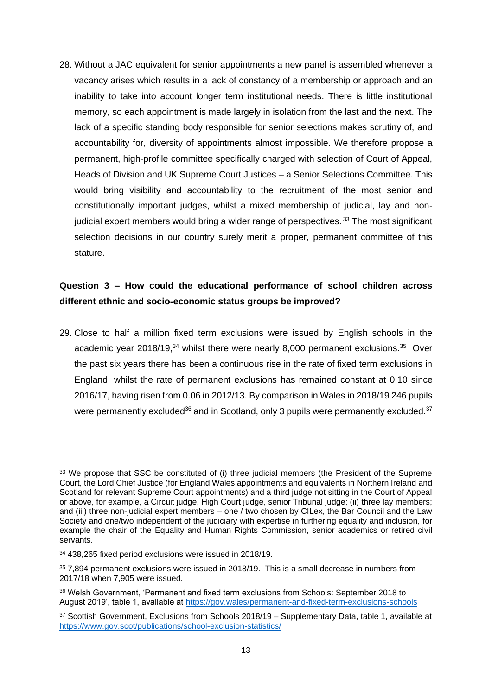<span id="page-12-1"></span>28. Without a JAC equivalent for senior appointments a new panel is assembled whenever a vacancy arises which results in a lack of constancy of a membership or approach and an inability to take into account longer term institutional needs. There is little institutional memory, so each appointment is made largely in isolation from the last and the next. The lack of a specific standing body responsible for senior selections makes scrutiny of, and accountability for, diversity of appointments almost impossible. We therefore propose a permanent, high-profile committee specifically charged with selection of Court of Appeal, Heads of Division and UK Supreme Court Justices – a Senior Selections Committee. This would bring visibility and accountability to the recruitment of the most senior and constitutionally important judges, whilst a mixed membership of judicial, lay and nonjudicial expert members would bring a wider range of perspectives.<sup>33</sup> The most significant selection decisions in our country surely merit a proper, permanent committee of this stature.

# <span id="page-12-0"></span>**Question 3 – How could the educational performance of school children across different ethnic and socio-economic status groups be improved?**

29. Close to half a million fixed term exclusions were issued by English schools in the academic year 2018/19,<sup>34</sup> whilst there were nearly 8,000 permanent exclusions.<sup>35</sup> Over the past six years there has been a continuous rise in the rate of fixed term exclusions in England, whilst the rate of permanent exclusions has remained constant at 0.10 since 2016/17, having risen from 0.06 in 2012/13. By comparison in Wales in 2018/19 246 pupils were permanently excluded<sup>36</sup> and in Scotland, only 3 pupils were permanently excluded.<sup>37</sup>

<sup>&</sup>lt;sup>33</sup> We propose that SSC be constituted of (i) three judicial members (the President of the Supreme Court, the Lord Chief Justice (for England Wales appointments and equivalents in Northern Ireland and Scotland for relevant Supreme Court appointments) and a third judge not sitting in the Court of Appeal or above, for example, a Circuit judge, High Court judge, senior Tribunal judge; (ii) three lay members; and (iii) three non-judicial expert members – one / two chosen by CILex, the Bar Council and the Law Society and one/two independent of the judiciary with expertise in furthering equality and inclusion, for example the chair of the Equality and Human Rights Commission, senior academics or retired civil servants.

<sup>34</sup> 438,265 fixed period exclusions were issued in 2018/19.

<sup>35 7,894</sup> permanent exclusions were issued in 2018/19. This is a small decrease in numbers from 2017/18 when 7,905 were issued.

<sup>36</sup> Welsh Government, 'Permanent and fixed term exclusions from Schools: September 2018 to August 2019', table 1, available at<https://gov.wales/permanent-and-fixed-term-exclusions-schools>

<sup>37</sup> Scottish Government, Exclusions from Schools 2018/19 – Supplementary Data, table 1, available at <https://www.gov.scot/publications/school-exclusion-statistics/>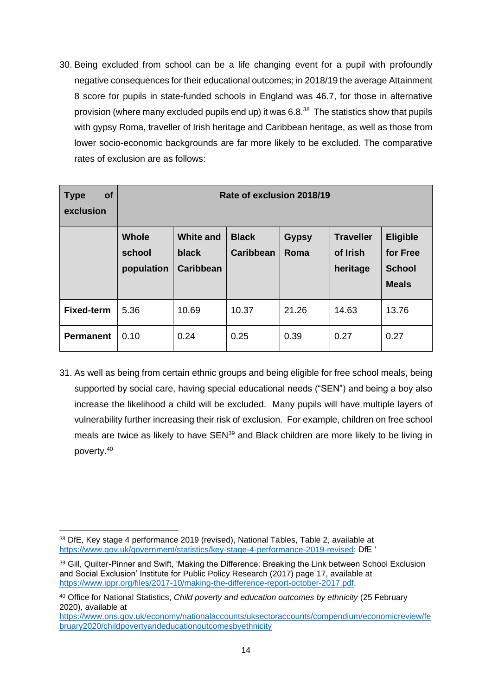<span id="page-13-0"></span>30. Being excluded from school can be a life changing event for a pupil with profoundly negative consequences for their educational outcomes; in 2018/19 the average Attainment 8 score for pupils in state-funded schools in England was 46.7, for those in alternative provision (where many excluded pupils end up) it was 6.8.<sup>38</sup> The statistics show that pupils with gypsy Roma, traveller of Irish heritage and Caribbean heritage, as well as those from lower socio-economic backgrounds are far more likely to be excluded. The comparative rates of exclusion are as follows:

| <b>of</b><br><b>Type</b><br>exclusion | Rate of exclusion 2018/19            |                                               |                                  |                      |                                          |                                                              |
|---------------------------------------|--------------------------------------|-----------------------------------------------|----------------------------------|----------------------|------------------------------------------|--------------------------------------------------------------|
|                                       | <b>Whole</b><br>school<br>population | <b>White and</b><br>black<br><b>Caribbean</b> | <b>Black</b><br><b>Caribbean</b> | <b>Gypsy</b><br>Roma | <b>Traveller</b><br>of Irish<br>heritage | <b>Eligible</b><br>for Free<br><b>School</b><br><b>Meals</b> |
| <b>Fixed-term</b>                     | 5.36                                 | 10.69                                         | 10.37                            | 21.26                | 14.63                                    | 13.76                                                        |
| <b>Permanent</b>                      | 0.10                                 | 0.24                                          | 0.25                             | 0.39                 | 0.27                                     | 0.27                                                         |

31. As well as being from certain ethnic groups and being eligible for free school meals, being supported by social care, having special educational needs ("SEN") and being a boy also increase the likelihood a child will be excluded. Many pupils will have multiple layers of vulnerability further increasing their risk of exclusion. For example, children on free school meals are twice as likely to have SEN<sup>39</sup> and Black children are more likely to be living in poverty.<sup>40</sup>

<sup>38</sup> DfE, Key stage 4 performance 2019 (revised), National Tables, Table 2, available at [https://www.gov.uk/government/statistics/key-stage-4-performance-2019-revised;](https://www.gov.uk/government/statistics/key-stage-4-performance-2019-revised) DfE '

<sup>39</sup> Gill, Quilter-Pinner and Swift, 'Making the Difference: Breaking the Link between School Exclusion and Social Exclusion' Institute for Public Policy Research (2017) page 17, available at [https://www.ippr.org/files/2017-10/making-the-difference-report-october-2017.pdf.](https://www.ippr.org/files/2017-10/making-the-difference-report-october-2017.pdf)

<sup>40</sup> Office for National Statistics, *Child poverty and education outcomes by ethnicity* (25 February 2020), available at

[https://www.ons.gov.uk/economy/nationalaccounts/uksectoraccounts/compendium/economicreview/fe](https://www.ons.gov.uk/economy/nationalaccounts/uksectoraccounts/compendium/economicreview/february2020/childpovertyandeducationoutcomesbyethnicity) [bruary2020/childpovertyandeducationoutcomesbyethnicity](https://www.ons.gov.uk/economy/nationalaccounts/uksectoraccounts/compendium/economicreview/february2020/childpovertyandeducationoutcomesbyethnicity)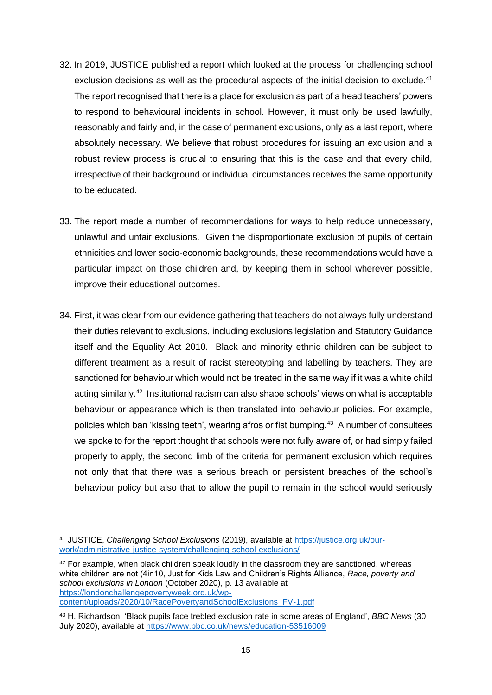- <span id="page-14-0"></span>32. In 2019, JUSTICE published a report which looked at the process for challenging school exclusion decisions as well as the procedural aspects of the initial decision to exclude.<sup>41</sup> The report recognised that there is a place for exclusion as part of a head teachers' powers to respond to behavioural incidents in school. However, it must only be used lawfully, reasonably and fairly and, in the case of permanent exclusions, only as a last report, where absolutely necessary. We believe that robust procedures for issuing an exclusion and a robust review process is crucial to ensuring that this is the case and that every child, irrespective of their background or individual circumstances receives the same opportunity to be educated.
- 33. The report made a number of recommendations for ways to help reduce unnecessary, unlawful and unfair exclusions. Given the disproportionate exclusion of pupils of certain ethnicities and lower socio-economic backgrounds, these recommendations would have a particular impact on those children and, by keeping them in school wherever possible, improve their educational outcomes.
- <span id="page-14-1"></span>34. First, it was clear from our evidence gathering that teachers do not always fully understand their duties relevant to exclusions, including exclusions legislation and Statutory Guidance itself and the Equality Act 2010. Black and minority ethnic children can be subject to different treatment as a result of racist stereotyping and labelling by teachers. They are sanctioned for behaviour which would not be treated in the same way if it was a white child acting similarly.<sup>42</sup> Institutional racism can also shape schools' views on what is acceptable behaviour or appearance which is then translated into behaviour policies. For example, policies which ban 'kissing teeth', wearing afros or fist bumping.<sup>43</sup> A number of consultees we spoke to for the report thought that schools were not fully aware of, or had simply failed properly to apply, the second limb of the criteria for permanent exclusion which requires not only that that there was a serious breach or persistent breaches of the school's behaviour policy but also that to allow the pupil to remain in the school would seriously

<sup>41</sup> JUSTICE, *Challenging School Exclusions* (2019), available at [https://justice.org.uk/our](https://justice.org.uk/our-work/administrative-justice-system/challenging-school-exclusions/)[work/administrative-justice-system/challenging-school-exclusions/](https://justice.org.uk/our-work/administrative-justice-system/challenging-school-exclusions/)

<sup>&</sup>lt;sup>42</sup> For example, when black children speak loudly in the classroom they are sanctioned, whereas white children are not (4in10, Just for Kids Law and Children's Rights Alliance, *Race, poverty and school exclusions in London* (October 2020), p. 13 available at [https://londonchallengepovertyweek.org.uk/wp](https://londonchallengepovertyweek.org.uk/wp-content/uploads/2020/10/RacePovertyandSchoolExclusions_FV-1.pdf)[content/uploads/2020/10/RacePovertyandSchoolExclusions\\_FV-1.pdf](https://londonchallengepovertyweek.org.uk/wp-content/uploads/2020/10/RacePovertyandSchoolExclusions_FV-1.pdf) 

<sup>43</sup> H. Richardson, 'Black pupils face trebled exclusion rate in some areas of England', *BBC News* (30 July 2020), available at<https://www.bbc.co.uk/news/education-53516009>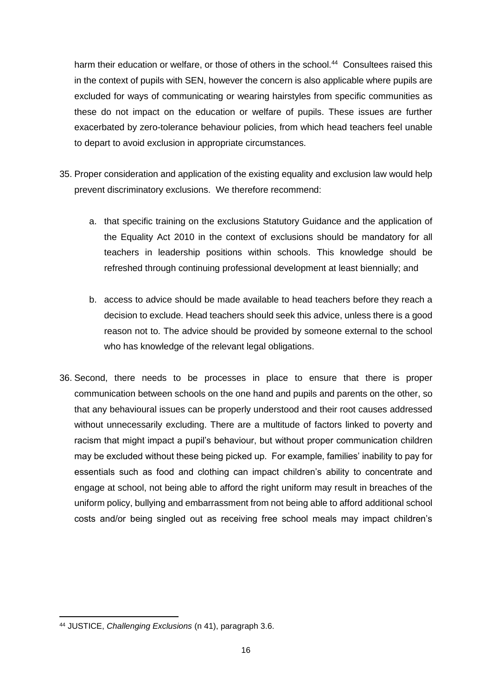harm their education or welfare, or those of others in the school.<sup>44</sup> Consultees raised this in the context of pupils with SEN, however the concern is also applicable where pupils are excluded for ways of communicating or wearing hairstyles from specific communities as these do not impact on the education or welfare of pupils. These issues are further exacerbated by zero-tolerance behaviour policies, from which head teachers feel unable to depart to avoid exclusion in appropriate circumstances.

- 35. Proper consideration and application of the existing equality and exclusion law would help prevent discriminatory exclusions. We therefore recommend:
	- a. that specific training on the exclusions Statutory Guidance and the application of the Equality Act 2010 in the context of exclusions should be mandatory for all teachers in leadership positions within schools. This knowledge should be refreshed through continuing professional development at least biennially; and
	- b. access to advice should be made available to head teachers before they reach a decision to exclude. Head teachers should seek this advice, unless there is a good reason not to. The advice should be provided by someone external to the school who has knowledge of the relevant legal obligations.
- 36. Second, there needs to be processes in place to ensure that there is proper communication between schools on the one hand and pupils and parents on the other, so that any behavioural issues can be properly understood and their root causes addressed without unnecessarily excluding. There are a multitude of factors linked to poverty and racism that might impact a pupil's behaviour, but without proper communication children may be excluded without these being picked up. For example, families' inability to pay for essentials such as food and clothing can impact children's ability to concentrate and engage at school, not being able to afford the right uniform may result in breaches of the uniform policy, bullying and embarrassment from not being able to afford additional school costs and/or being singled out as receiving free school meals may impact children's

<sup>44</sup> JUSTICE, *Challenging Exclusions* (n [41\)](#page-14-0), paragraph 3.6.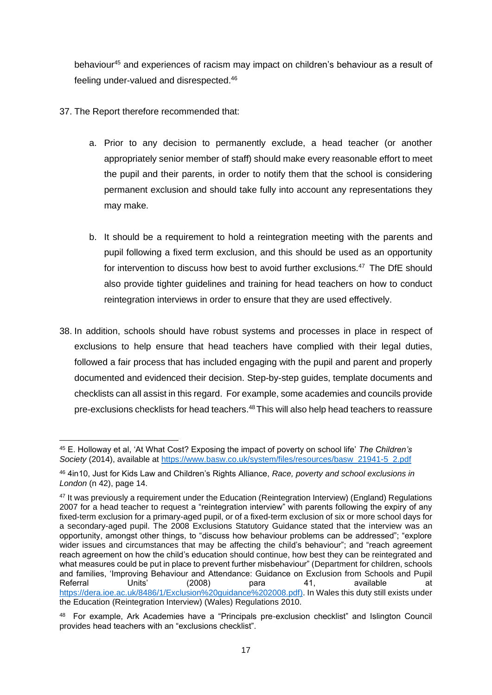behaviour<sup>45</sup> and experiences of racism may impact on children's behaviour as a result of feeling under-valued and disrespected.<sup>46</sup>

- 37. The Report therefore recommended that:
	- a. Prior to any decision to permanently exclude, a head teacher (or another appropriately senior member of staff) should make every reasonable effort to meet the pupil and their parents, in order to notify them that the school is considering permanent exclusion and should take fully into account any representations they may make.
	- b. It should be a requirement to hold a reintegration meeting with the parents and pupil following a fixed term exclusion, and this should be used as an opportunity for intervention to discuss how best to avoid further exclusions.<sup>47</sup> The DfE should also provide tighter guidelines and training for head teachers on how to conduct reintegration interviews in order to ensure that they are used effectively.
- 38. In addition, schools should have robust systems and processes in place in respect of exclusions to help ensure that head teachers have complied with their legal duties, followed a fair process that has included engaging with the pupil and parent and properly documented and evidenced their decision. Step-by-step guides, template documents and checklists can all assist in this regard. For example, some academies and councils provide pre-exclusions checklists for head teachers.<sup>48</sup>This will also help head teachers to reassure

<sup>45</sup> E. Holloway et al, 'At What Cost? Exposing the impact of poverty on school life' *The Children's Society* (2014), available at [https://www.basw.co.uk/system/files/resources/basw\\_21941-5\\_2.pdf](https://www.basw.co.uk/system/files/resources/basw_21941-5_2.pdf)

<sup>46</sup> 4in10, Just for Kids Law and Children's Rights Alliance, *Race, poverty and school exclusions in London* (n [42\)](#page-14-1), page 14.

<sup>47</sup> It was previously a requirement under the Education (Reintegration Interview) (England) Regulations 2007 for a head teacher to request a "reintegration interview" with parents following the expiry of any fixed-term exclusion for a primary-aged pupil, or of a fixed-term exclusion of six or more school days for a secondary-aged pupil. The 2008 Exclusions Statutory Guidance stated that the interview was an opportunity, amongst other things, to "discuss how behaviour problems can be addressed"; "explore wider issues and circumstances that may be affecting the child's behaviour"; and "reach agreement reach agreement on how the child's education should continue, how best they can be reintegrated and what measures could be put in place to prevent further misbehaviour" (Department for children, schools and families, 'Improving Behaviour and Attendance: Guidance on Exclusion from Schools and Pupil Referral Units' (2008) para 41, available at [https://dera.ioe.ac.uk/8486/1/Exclusion%20guidance%202008.pdf\)](https://dera.ioe.ac.uk/8486/1/Exclusion%20guidance%202008.pdf). In Wales this duty still exists under the Education (Reintegration Interview) (Wales) Regulations 2010.

<sup>&</sup>lt;sup>48</sup> For example, Ark Academies have a "Principals pre-exclusion checklist" and Islington Council provides head teachers with an "exclusions checklist".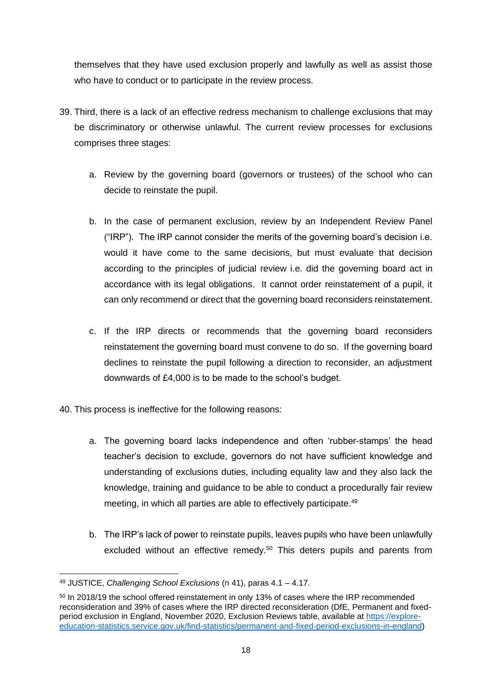themselves that they have used exclusion properly and lawfully as well as assist those who have to conduct or to participate in the review process.

- 39. Third, there is a lack of an effective redress mechanism to challenge exclusions that may be discriminatory or otherwise unlawful. The current review processes for exclusions comprises three stages:
	- a. Review by the governing board (governors or trustees) of the school who can decide to reinstate the pupil.
	- b. In the case of permanent exclusion, review by an Independent Review Panel ("IRP"). The IRP cannot consider the merits of the governing board's decision i.e. would it have come to the same decisions, but must evaluate that decision according to the principles of judicial review i.e. did the governing board act in accordance with its legal obligations. It cannot order reinstatement of a pupil, it can only recommend or direct that the governing board reconsiders reinstatement.
	- c. If the IRP directs or recommends that the governing board reconsiders reinstatement the governing board must convene to do so. If the governing board declines to reinstate the pupil following a direction to reconsider, an adjustment downwards of £4,000 is to be made to the school's budget.
- 40. This process is ineffective for the following reasons:
	- a. The governing board lacks independence and often 'rubber-stamps' the head teacher's decision to exclude, governors do not have sufficient knowledge and understanding of exclusions duties, including equality law and they also lack the knowledge, training and guidance to be able to conduct a procedurally fair review meeting, in which all parties are able to effectively participate.<sup>49</sup>
	- b. The IRP's lack of power to reinstate pupils, leaves pupils who have been unlawfully excluded without an effective remedy.<sup>50</sup> This deters pupils and parents from

<sup>49</sup> JUSTICE, *Challenging School Exclusions* (n [41\)](#page-14-0), paras 4.1 – 4.17.

<sup>&</sup>lt;sup>50</sup> In 2018/19 the school offered reinstatement in only 13% of cases where the IRP recommended reconsideration and 39% of cases where the IRP directed reconsideration (DfE, Permanent and fixedperiod exclusion in England, November 2020, Exclusion Reviews table, available at [https://explore](https://explore-education-statistics.service.gov.uk/find-statistics/permanent-and-fixed-period-exclusions-in-england)[education-statistics.service.gov.uk/find-statistics/permanent-and-fixed-period-exclusions-in-england\)](https://explore-education-statistics.service.gov.uk/find-statistics/permanent-and-fixed-period-exclusions-in-england)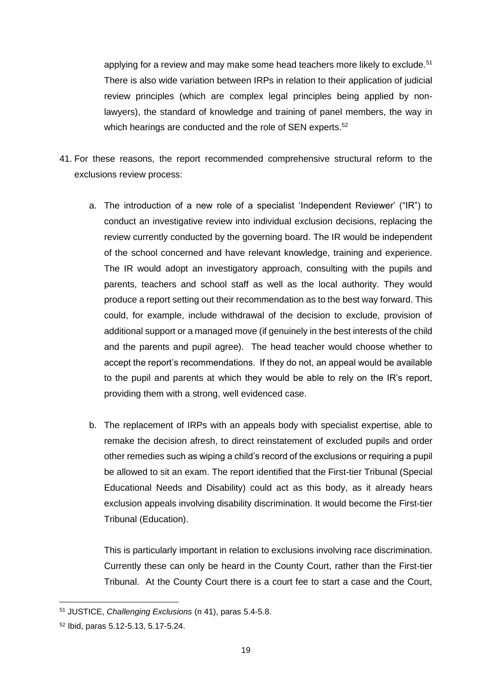applying for a review and may make some head teachers more likely to exclude.<sup>51</sup> There is also wide variation between IRPs in relation to their application of judicial review principles (which are complex legal principles being applied by nonlawyers), the standard of knowledge and training of panel members, the way in which hearings are conducted and the role of SEN experts.<sup>52</sup>

- 41. For these reasons, the report recommended comprehensive structural reform to the exclusions review process:
	- a. The introduction of a new role of a specialist 'Independent Reviewer' ("IR") to conduct an investigative review into individual exclusion decisions, replacing the review currently conducted by the governing board. The IR would be independent of the school concerned and have relevant knowledge, training and experience. The IR would adopt an investigatory approach, consulting with the pupils and parents, teachers and school staff as well as the local authority. They would produce a report setting out their recommendation as to the best way forward. This could, for example, include withdrawal of the decision to exclude, provision of additional support or a managed move (if genuinely in the best interests of the child and the parents and pupil agree). The head teacher would choose whether to accept the report's recommendations. If they do not, an appeal would be available to the pupil and parents at which they would be able to rely on the IR's report, providing them with a strong, well evidenced case.
	- b. The replacement of IRPs with an appeals body with specialist expertise, able to remake the decision afresh, to direct reinstatement of excluded pupils and order other remedies such as wiping a child's record of the exclusions or requiring a pupil be allowed to sit an exam. The report identified that the First-tier Tribunal (Special Educational Needs and Disability) could act as this body, as it already hears exclusion appeals involving disability discrimination. It would become the First-tier Tribunal (Education).

This is particularly important in relation to exclusions involving race discrimination. Currently these can only be heard in the County Court, rather than the First-tier Tribunal. At the County Court there is a court fee to start a case and the Court,

<sup>51</sup> JUSTICE, *Challenging Exclusions* (n [41\)](#page-14-0), paras 5.4-5.8.

<sup>52</sup> Ibid, paras 5.12-5.13, 5.17-5.24.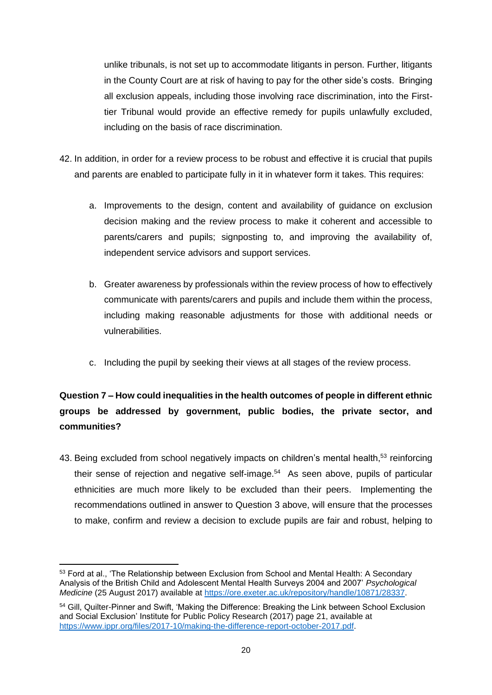unlike tribunals, is not set up to accommodate litigants in person. Further, litigants in the County Court are at risk of having to pay for the other side's costs. Bringing all exclusion appeals, including those involving race discrimination, into the Firsttier Tribunal would provide an effective remedy for pupils unlawfully excluded, including on the basis of race discrimination.

- 42. In addition, in order for a review process to be robust and effective it is crucial that pupils and parents are enabled to participate fully in it in whatever form it takes. This requires:
	- a. Improvements to the design, content and availability of guidance on exclusion decision making and the review process to make it coherent and accessible to parents/carers and pupils; signposting to, and improving the availability of, independent service advisors and support services.
	- b. Greater awareness by professionals within the review process of how to effectively communicate with parents/carers and pupils and include them within the process, including making reasonable adjustments for those with additional needs or vulnerabilities.
	- c. Including the pupil by seeking their views at all stages of the review process.

# <span id="page-19-0"></span>**Question 7 – How could inequalities in the health outcomes of people in different ethnic groups be addressed by government, public bodies, the private sector, and communities?**

43. Being excluded from school negatively impacts on children's mental health,<sup>53</sup> reinforcing their sense of rejection and negative self-image.<sup>54</sup> As seen above, pupils of particular ethnicities are much more likely to be excluded than their peers. Implementing the recommendations outlined in answer to Question 3 above, will ensure that the processes to make, confirm and review a decision to exclude pupils are fair and robust, helping to

<sup>53</sup> Ford at al., 'The Relationship between Exclusion from School and Mental Health: A Secondary Analysis of the British Child and Adolescent Mental Health Surveys 2004 and 2007' *Psychological Medicine* (25 August 2017) available at [https://ore.exeter.ac.uk/repository/handle/10871/28337.](https://ore.exeter.ac.uk/repository/handle/10871/28337)

<sup>54</sup> Gill, Quilter-Pinner and Swift, 'Making the Difference: Breaking the Link between School Exclusion and Social Exclusion' Institute for Public Policy Research (2017) page 21, available at [https://www.ippr.org/files/2017-10/making-the-difference-report-october-2017.pdf.](https://www.ippr.org/files/2017-10/making-the-difference-report-october-2017.pdf)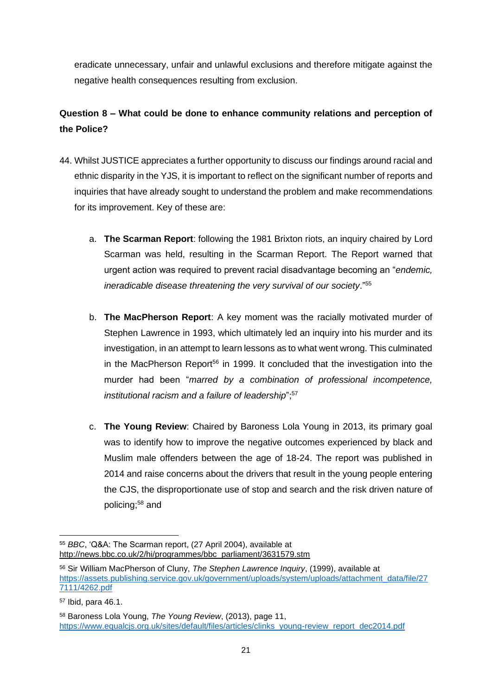eradicate unnecessary, unfair and unlawful exclusions and therefore mitigate against the negative health consequences resulting from exclusion.

# <span id="page-20-0"></span>**Question 8 – What could be done to enhance community relations and perception of the Police?**

- 44. Whilst JUSTICE appreciates a further opportunity to discuss our findings around racial and ethnic disparity in the YJS, it is important to reflect on the significant number of reports and inquiries that have already sought to understand the problem and make recommendations for its improvement. Key of these are:
	- a. **The Scarman Report**: following the 1981 Brixton riots, an inquiry chaired by Lord Scarman was held, resulting in the Scarman Report. The Report warned that urgent action was required to prevent racial disadvantage becoming an "*endemic, ineradicable disease threatening the very survival of our society*."<sup>55</sup>
	- b. **The MacPherson Report**: A key moment was the racially motivated murder of Stephen Lawrence in 1993, which ultimately led an inquiry into his murder and its investigation, in an attempt to learn lessons as to what went wrong. This culminated in the MacPherson Report<sup>56</sup> in 1999. It concluded that the investigation into the murder had been "*marred by a combination of professional incompetence, institutional racism and a failure of leadership*";<sup>57</sup>
	- c. **The Young Review**: Chaired by Baroness Lola Young in 2013, its primary goal was to identify how to improve the negative outcomes experienced by black and Muslim male offenders between the age of 18-24. The report was published in 2014 and raise concerns about the drivers that result in the young people entering the CJS, the disproportionate use of stop and search and the risk driven nature of policing;<sup>58</sup> and

<sup>55</sup> *BBC*, 'Q&A: The Scarman report, (27 April 2004), available at [http://news.bbc.co.uk/2/hi/programmes/bbc\\_parliament/3631579.stm](http://news.bbc.co.uk/2/hi/programmes/bbc_parliament/3631579.stm)

<sup>56</sup> Sir William MacPherson of Cluny, *The Stephen Lawrence Inquiry*, (1999), available at [https://assets.publishing.service.gov.uk/government/uploads/system/uploads/attachment\\_data/file/27](https://assets.publishing.service.gov.uk/government/uploads/system/uploads/attachment_data/file/277111/4262.pdf) [7111/4262.pdf](https://assets.publishing.service.gov.uk/government/uploads/system/uploads/attachment_data/file/277111/4262.pdf)

<sup>57</sup> Ibid, para 46.1.

<sup>58</sup> Baroness Lola Young, *The Young Review*, (2013), page 11, [https://www.equalcjs.org.uk/sites/default/files/articles/clinks\\_young-review\\_report\\_dec2014.pdf](https://www.equalcjs.org.uk/sites/default/files/articles/clinks_young-review_report_dec2014.pdf)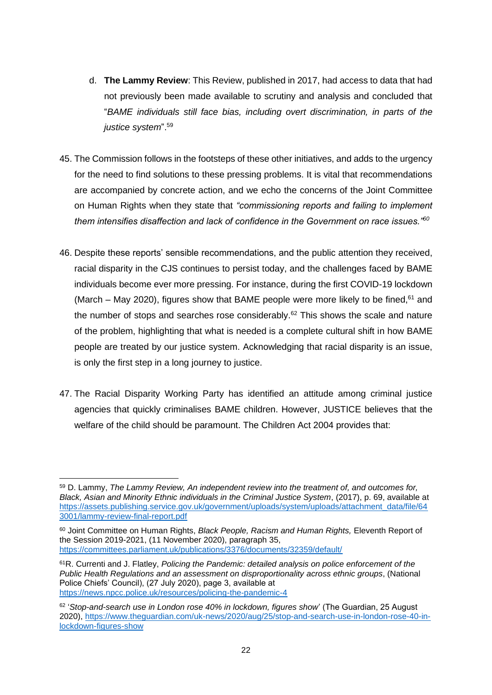- d. **The Lammy Review**: This Review, published in 2017, had access to data that had not previously been made available to scrutiny and analysis and concluded that "*BAME individuals still face bias, including overt discrimination, in parts of the justice system*".<sup>59</sup>
- 45. The Commission follows in the footsteps of these other initiatives, and adds to the urgency for the need to find solutions to these pressing problems. It is vital that recommendations are accompanied by concrete action, and we echo the concerns of the Joint Committee on Human Rights when they state that *"commissioning reports and failing to implement them intensifies disaffection and lack of confidence in the Government on race issues."<sup>60</sup>*
- 46. Despite these reports' sensible recommendations, and the public attention they received, racial disparity in the CJS continues to persist today, and the challenges faced by BAME individuals become ever more pressing. For instance, during the first COVID-19 lockdown (March – May 2020), figures show that BAME people were more likely to be fined,  $61$  and the number of stops and searches rose considerably. $62$  This shows the scale and nature of the problem, highlighting that what is needed is a complete cultural shift in how BAME people are treated by our justice system. Acknowledging that racial disparity is an issue, is only the first step in a long journey to justice.
- 47. The Racial Disparity Working Party has identified an attitude among criminal justice agencies that quickly criminalises BAME children. However, JUSTICE believes that the welfare of the child should be paramount. The Children Act 2004 provides that:

<sup>59</sup> D. Lammy, *The Lammy Review, An independent review into the treatment of, and outcomes for, Black, Asian and Minority Ethnic individuals in the Criminal Justice System*, (2017), p. 69, available at [https://assets.publishing.service.gov.uk/government/uploads/system/uploads/attachment\\_data/file/64](https://assets.publishing.service.gov.uk/government/uploads/system/uploads/attachment_data/file/643001/lammy-review-final-report.pdf) [3001/lammy-review-final-report.pdf](https://assets.publishing.service.gov.uk/government/uploads/system/uploads/attachment_data/file/643001/lammy-review-final-report.pdf)

<sup>60</sup> Joint Committee on Human Rights, *Black People, Racism and Human Rights,* Eleventh Report of the Session 2019-2021, (11 November 2020), paragraph 35, <https://committees.parliament.uk/publications/3376/documents/32359/default/>

<sup>61</sup>R. Currenti and J. Flatley, *Policing the Pandemic: detailed analysis on police enforcement of the Public Health Regulations and an assessment on disproportionality across ethnic groups*, (National Police Chiefs' Council), (27 July 2020), page 3, available at <https://news.npcc.police.uk/resources/policing-the-pandemic-4>

<sup>&</sup>lt;sup>62</sup> 'Stop-and-search use in London rose 40% in lockdown, figures show' (The Guardian, 25 August 2020), [https://www.theguardian.com/uk-news/2020/aug/25/stop-and-search-use-in-london-rose-40-in](https://www.theguardian.com/uk-news/2020/aug/25/stop-and-search-use-in-london-rose-40-in-lockdown-figures-show)[lockdown-figures-show](https://www.theguardian.com/uk-news/2020/aug/25/stop-and-search-use-in-london-rose-40-in-lockdown-figures-show)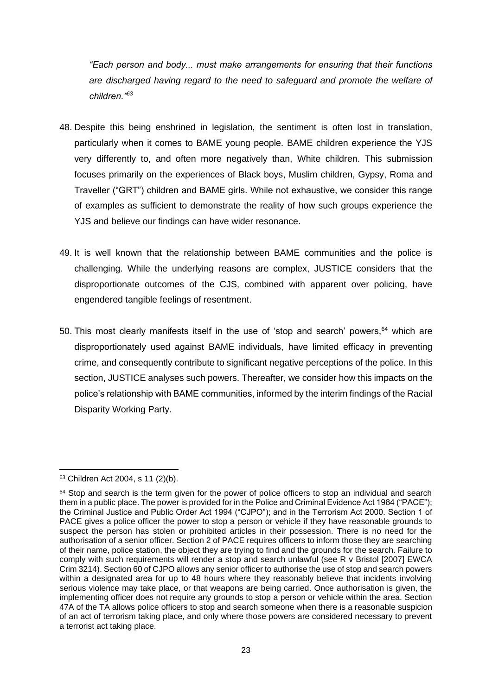*"Each person and body... must make arrangements for ensuring that their functions are discharged having regard to the need to safeguard and promote the welfare of children."<sup>63</sup>*

- 48. Despite this being enshrined in legislation, the sentiment is often lost in translation, particularly when it comes to BAME young people. BAME children experience the YJS very differently to, and often more negatively than, White children. This submission focuses primarily on the experiences of Black boys, Muslim children, Gypsy, Roma and Traveller ("GRT") children and BAME girls. While not exhaustive, we consider this range of examples as sufficient to demonstrate the reality of how such groups experience the YJS and believe our findings can have wider resonance.
- 49. It is well known that the relationship between BAME communities and the police is challenging. While the underlying reasons are complex, JUSTICE considers that the disproportionate outcomes of the CJS, combined with apparent over policing, have engendered tangible feelings of resentment.
- 50. This most clearly manifests itself in the use of 'stop and search' powers, 64 which are disproportionately used against BAME individuals, have limited efficacy in preventing crime, and consequently contribute to significant negative perceptions of the police. In this section, JUSTICE analyses such powers. Thereafter, we consider how this impacts on the police's relationship with BAME communities, informed by the interim findings of the Racial Disparity Working Party.

<sup>63</sup> Children Act 2004, s 11 (2)(b).

 $64$  Stop and search is the term given for the power of police officers to stop an individual and search them in a public place. The power is provided for in the Police and Criminal Evidence Act 1984 ("PACE"); the Criminal Justice and Public Order Act 1994 ("CJPO"); and in the Terrorism Act 2000. Section 1 of PACE gives a police officer the power to stop a person or vehicle if they have reasonable grounds to suspect the person has stolen or prohibited articles in their possession. There is no need for the authorisation of a senior officer. Section 2 of PACE requires officers to inform those they are searching of their name, police station, the object they are trying to find and the grounds for the search. Failure to comply with such requirements will render a stop and search unlawful (see R v Bristol [2007] EWCA Crim 3214). Section 60 of CJPO allows any senior officer to authorise the use of stop and search powers within a designated area for up to 48 hours where they reasonably believe that incidents involving serious violence may take place, or that weapons are being carried. Once authorisation is given, the implementing officer does not require any grounds to stop a person or vehicle within the area. Section 47A of the TA allows police officers to stop and search someone when there is a reasonable suspicion of an act of terrorism taking place, and only where those powers are considered necessary to prevent a terrorist act taking place.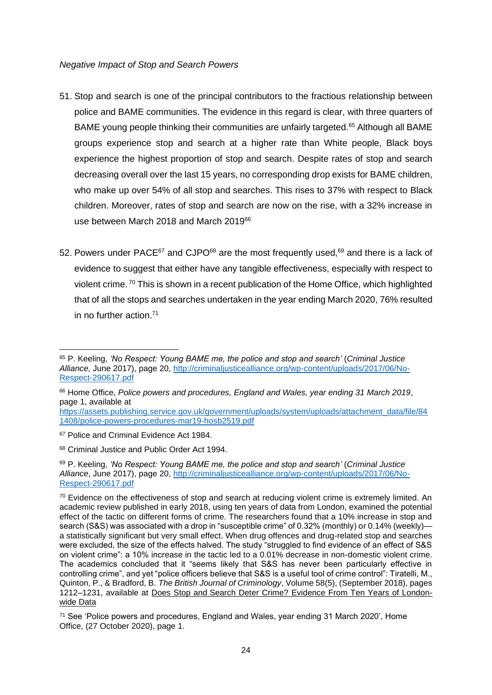#### *Negative Impact of Stop and Search Powers*

- 51. Stop and search is one of the principal contributors to the fractious relationship between police and BAME communities. The evidence in this regard is clear, with three quarters of BAME young people thinking their communities are unfairly targeted.<sup>65</sup> Although all BAME groups experience stop and search at a higher rate than White people, Black boys experience the highest proportion of stop and search. Despite rates of stop and search decreasing overall over the last 15 years, no corresponding drop exists for BAME children, who make up over 54% of all stop and searches. This rises to 37% with respect to Black children. Moreover, rates of stop and search are now on the rise, with a 32% increase in use between March 2018 and March 2019<sup>66</sup>
- 52. Powers under PACE<sup>67</sup> and CJPO<sup>68</sup> are the most frequently used,<sup>69</sup> and there is a lack of evidence to suggest that either have any tangible effectiveness, especially with respect to violent crime. <sup>70</sup> This is shown in a recent publication of the Home Office, which highlighted that of all the stops and searches undertaken in the year ending March 2020, 76% resulted in no further action.<sup>71</sup>

<sup>65</sup> P. Keeling, *'No Respect: Young BAME me, the police and stop and search'* (*Criminal Justice Alliance,* June 2017), page 20, [http://criminaljusticealliance.org/wp-content/uploads/2017/06/No-](http://criminaljusticealliance.org/wp-content/uploads/2017/06/No-Respect-290617.pdf)[Respect-290617.pdf](http://criminaljusticealliance.org/wp-content/uploads/2017/06/No-Respect-290617.pdf)

<sup>66</sup> Home Office, *Police powers and procedures, England and Wales, year ending 31 March 2019*, page 1, available at

[https://assets.publishing.service.gov.uk/government/uploads/system/uploads/attachment\\_data/file/84](https://assets.publishing.service.gov.uk/government/uploads/system/uploads/attachment_data/file/841408/police-powers-procedures-mar19-hosb2519.pdf) [1408/police-powers-procedures-mar19-hosb2519.pdf](https://assets.publishing.service.gov.uk/government/uploads/system/uploads/attachment_data/file/841408/police-powers-procedures-mar19-hosb2519.pdf)

<sup>&</sup>lt;sup>67</sup> Police and Criminal Evidence Act 1984.

<sup>68</sup> Criminal Justice and Public Order Act 1994.

<sup>69</sup> P. Keeling, *'No Respect: Young BAME me, the police and stop and search'* (*Criminal Justice Alliance*, June 2017), page 20, [http://criminaljusticealliance.org/wp-content/uploads/2017/06/No-](http://criminaljusticealliance.org/wp-content/uploads/2017/06/No-Respect-290617.pdf)[Respect-290617.pdf](http://criminaljusticealliance.org/wp-content/uploads/2017/06/No-Respect-290617.pdf)

<sup>&</sup>lt;sup>70</sup> Evidence on the effectiveness of stop and search at reducing violent crime is extremely limited. An academic review published in early 2018, using ten years of data from London, examined the potential effect of the tactic on different forms of crime. The researchers found that a 10% increase in stop and search (S&S) was associated with a drop in "susceptible crime" of 0.32% (monthly) or 0.14% (weekly) a statistically significant but very small effect. When drug offences and drug-related stop and searches were excluded, the size of the effects halved. The study "struggled to find evidence of an effect of S&S on violent crime": a 10% increase in the tactic led to a 0.01% decrease in non-domestic violent crime. The academics concluded that it "seems likely that S&S has never been particularly effective in controlling crime", and yet "police officers believe that S&S is a useful tool of crime control": Tiratelli, M., Quinton, P., & Bradford, B. *The British Journal of Criminology*, Volume 58(5), (September 2018), pages 1212–1231, available at Does Stop and Search Deter Crime? [Evidence From Ten Years of London](https://academic.oup.com/bjc/article/58/5/1212/4827589)wide [Data](https://academic.oup.com/bjc/article/58/5/1212/4827589)

<sup>71</sup> See 'Police powers and procedures, England and Wales, year ending 31 March 2020', Home Office, (27 October 2020), page 1.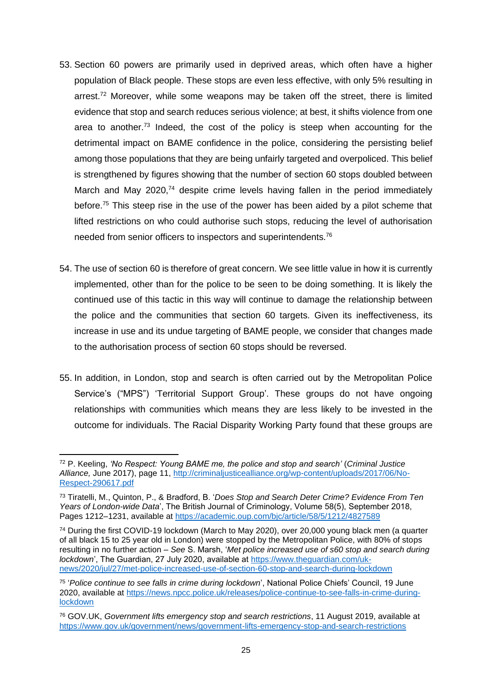- 53. Section 60 powers are primarily used in deprived areas, which often have a higher population of Black people. These stops are even less effective, with only 5% resulting in arrest.<sup>72</sup> Moreover, while some weapons may be taken off the street, there is limited evidence that stop and search reduces serious violence; at best, it shifts violence from one area to another.<sup>73</sup> Indeed, the cost of the policy is steep when accounting for the detrimental impact on BAME confidence in the police, considering the persisting belief among those populations that they are being unfairly targeted and overpoliced. This belief is strengthened by figures showing that the number of section 60 stops doubled between March and May 2020,<sup>74</sup> despite crime levels having fallen in the period immediately before.<sup>75</sup> This steep rise in the use of the power has been aided by a pilot scheme that lifted restrictions on who could authorise such stops, reducing the level of authorisation needed from senior officers to inspectors and superintendents.<sup>76</sup>
- 54. The use of section 60 is therefore of great concern. We see little value in how it is currently implemented, other than for the police to be seen to be doing something. It is likely the continued use of this tactic in this way will continue to damage the relationship between the police and the communities that section 60 targets. Given its ineffectiveness, its increase in use and its undue targeting of BAME people, we consider that changes made to the authorisation process of section 60 stops should be reversed.
- 55. In addition, in London, stop and search is often carried out by the Metropolitan Police Service's ("MPS") 'Territorial Support Group'. These groups do not have ongoing relationships with communities which means they are less likely to be invested in the outcome for individuals. The Racial Disparity Working Party found that these groups are

<sup>72</sup> P. Keeling, *'No Respect: Young BAME me, the police and stop and search'* (*Criminal Justice Alliance,* June 2017), page 11, [http://criminaljusticealliance.org/wp-content/uploads/2017/06/No-](http://criminaljusticealliance.org/wp-content/uploads/2017/06/No-Respect-290617.pdf)[Respect-290617.pdf](http://criminaljusticealliance.org/wp-content/uploads/2017/06/No-Respect-290617.pdf)

<sup>73</sup> Tiratelli, M., Quinton, P., & Bradford, B. '*Does Stop and Search Deter Crime? Evidence From Ten Years of London-wide Data*', The British Journal of Criminology, Volume 58(5), September 2018, Pages 1212–1231, available at<https://academic.oup.com/bjc/article/58/5/1212/4827589>

<sup>74</sup> During the first COVID-19 lockdown (March to May 2020), over 20,000 young black men (a quarter of all black 15 to 25 year old in London) were stopped by the Metropolitan Police, with 80% of stops resulting in no further action – *See* S. Marsh, '*Met police increased use of s60 stop and search during lockdown*', The Guardian, 27 July 2020, available at [https://www.theguardian.com/uk](https://www.theguardian.com/uk-news/2020/jul/27/met-police-increased-use-of-section-60-stop-and-search-during-lockdown)[news/2020/jul/27/met-police-increased-use-of-section-60-stop-and-search-during-lockdown](https://www.theguardian.com/uk-news/2020/jul/27/met-police-increased-use-of-section-60-stop-and-search-during-lockdown) 

<sup>75</sup> '*Police continue to see falls in crime during lockdown*', National Police Chiefs' Council, 19 June 2020, available at [https://news.npcc.police.uk/releases/police-continue-to-see-falls-in-crime-during](https://news.npcc.police.uk/releases/police-continue-to-see-falls-in-crime-during-lockdown)[lockdown](https://news.npcc.police.uk/releases/police-continue-to-see-falls-in-crime-during-lockdown)

<sup>76</sup> GOV.UK, *Government lifts emergency stop and search restrictions*, 11 August 2019, available at <https://www.gov.uk/government/news/government-lifts-emergency-stop-and-search-restrictions>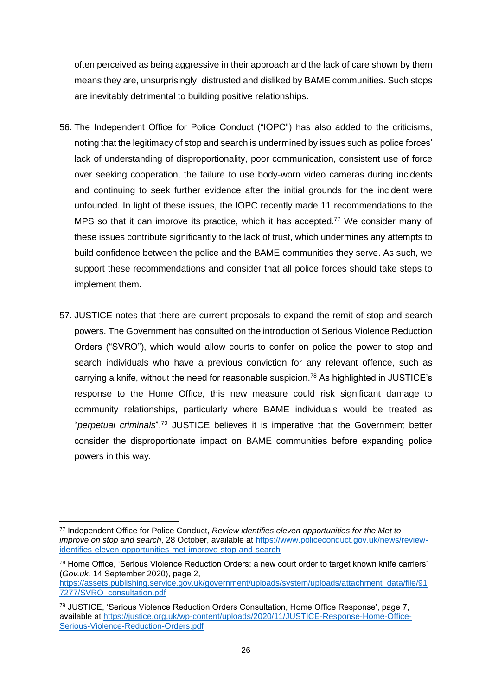often perceived as being aggressive in their approach and the lack of care shown by them means they are, unsurprisingly, distrusted and disliked by BAME communities. Such stops are inevitably detrimental to building positive relationships.

- 56. The Independent Office for Police Conduct ("IOPC") has also added to the criticisms, noting that the legitimacy of stop and search is undermined by issues such as police forces' lack of understanding of disproportionality, poor communication, consistent use of force over seeking cooperation, the failure to use body-worn video cameras during incidents and continuing to seek further evidence after the initial grounds for the incident were unfounded. In light of these issues, the IOPC recently made 11 recommendations to the MPS so that it can improve its practice, which it has accepted.<sup>77</sup> We consider many of these issues contribute significantly to the lack of trust, which undermines any attempts to build confidence between the police and the BAME communities they serve. As such, we support these recommendations and consider that all police forces should take steps to implement them.
- 57. JUSTICE notes that there are current proposals to expand the remit of stop and search powers. The Government has consulted on the introduction of Serious Violence Reduction Orders ("SVRO"), which would allow courts to confer on police the power to stop and search individuals who have a previous conviction for any relevant offence, such as carrying a knife, without the need for reasonable suspicion.<sup>78</sup> As highlighted in JUSTICE's response to the Home Office, this new measure could risk significant damage to community relationships, particularly where BAME individuals would be treated as "*perpetual criminals*".<sup>79</sup> JUSTICE believes it is imperative that the Government better consider the disproportionate impact on BAME communities before expanding police powers in this way.

<sup>77</sup> Independent Office for Police Conduct, *Review identifies eleven opportunities for the Met to improve on stop and search*, 28 October, available at [https://www.policeconduct.gov.uk/news/review](https://www.policeconduct.gov.uk/news/review-identifies-eleven-opportunities-met-improve-stop-and-search)[identifies-eleven-opportunities-met-improve-stop-and-search](https://www.policeconduct.gov.uk/news/review-identifies-eleven-opportunities-met-improve-stop-and-search) 

<sup>78</sup> Home Office, 'Serious Violence Reduction Orders: a new court order to target known knife carriers' (*Gov.uk,* 14 September 2020), page 2,

[https://assets.publishing.service.gov.uk/government/uploads/system/uploads/attachment\\_data/file/91](https://assets.publishing.service.gov.uk/government/uploads/system/uploads/attachment_data/file/917277/SVRO_consultation.pdf) [7277/SVRO\\_consultation.pdf](https://assets.publishing.service.gov.uk/government/uploads/system/uploads/attachment_data/file/917277/SVRO_consultation.pdf)

<sup>79</sup> JUSTICE, 'Serious Violence Reduction Orders Consultation, Home Office Response', page 7, available at [https://justice.org.uk/wp-content/uploads/2020/11/JUSTICE-Response-Home-Office-](https://justice.org.uk/wp-content/uploads/2020/11/JUSTICE-Response-Home-Office-Serious-Violence-Reduction-Orders.pdf)[Serious-Violence-Reduction-Orders.pdf](https://justice.org.uk/wp-content/uploads/2020/11/JUSTICE-Response-Home-Office-Serious-Violence-Reduction-Orders.pdf)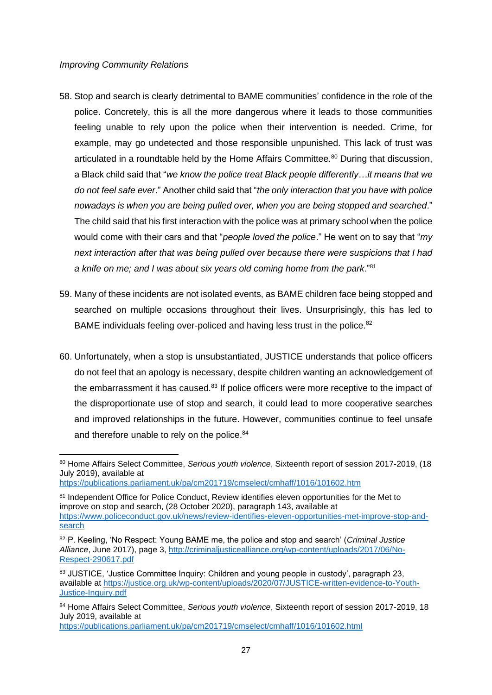#### *Improving Community Relations*

- 58. Stop and search is clearly detrimental to BAME communities' confidence in the role of the police. Concretely, this is all the more dangerous where it leads to those communities feeling unable to rely upon the police when their intervention is needed. Crime, for example, may go undetected and those responsible unpunished. This lack of trust was articulated in a roundtable held by the Home Affairs Committee.<sup>80</sup> During that discussion, a Black child said that "*we know the police treat Black people differently…it means that we do not feel safe ever*." Another child said that "*the only interaction that you have with police nowadays is when you are being pulled over, when you are being stopped and searched*." The child said that his first interaction with the police was at primary school when the police would come with their cars and that "*people loved the police*." He went on to say that "*my next interaction after that was being pulled over because there were suspicions that I had a knife on me; and I was about six years old coming home from the park*."<sup>81</sup>
- 59. Many of these incidents are not isolated events, as BAME children face being stopped and searched on multiple occasions throughout their lives. Unsurprisingly, this has led to BAME individuals feeling over-policed and having less trust in the police.<sup>82</sup>
- 60. Unfortunately, when a stop is unsubstantiated, JUSTICE understands that police officers do not feel that an apology is necessary, despite children wanting an acknowledgement of the embarrassment it has caused. $83$  If police officers were more receptive to the impact of the disproportionate use of stop and search, it could lead to more cooperative searches and improved relationships in the future. However, communities continue to feel unsafe and therefore unable to rely on the police.<sup>84</sup>

<https://publications.parliament.uk/pa/cm201719/cmselect/cmhaff/1016/101602.html>

<sup>80</sup> Home Affairs Select Committee, *Serious youth violence*, Sixteenth report of session 2017-2019, (18 July 2019), available at

<https://publications.parliament.uk/pa/cm201719/cmselect/cmhaff/1016/101602.htm>

<sup>81</sup> Independent Office for Police Conduct, Review identifies eleven opportunities for the Met to improve on stop and search, (28 October 2020), paragraph 143, available at [https://www.policeconduct.gov.uk/news/review-identifies-eleven-opportunities-met-improve-stop-and](https://www.policeconduct.gov.uk/news/review-identifies-eleven-opportunities-met-improve-stop-and-search)[search](https://www.policeconduct.gov.uk/news/review-identifies-eleven-opportunities-met-improve-stop-and-search)

<sup>82</sup> P. Keeling, 'No Respect: Young BAME me, the police and stop and search' (*Criminal Justice Alliance*, June 2017), page 3, [http://criminaljusticealliance.org/wp-content/uploads/2017/06/No-](http://criminaljusticealliance.org/wp-content/uploads/2017/06/No-Respect-290617.pdf)[Respect-290617.pdf](http://criminaljusticealliance.org/wp-content/uploads/2017/06/No-Respect-290617.pdf)

<sup>83</sup> JUSTICE, 'Justice Committee Inquiry: Children and young people in custody', paragraph 23, available at [https://justice.org.uk/wp-content/uploads/2020/07/JUSTICE-written-evidence-to-Youth-](https://justice.org.uk/wp-content/uploads/2020/07/JUSTICE-written-evidence-to-Youth-Justice-Inquiry.pdf)[Justice-Inquiry.pdf](https://justice.org.uk/wp-content/uploads/2020/07/JUSTICE-written-evidence-to-Youth-Justice-Inquiry.pdf)

<sup>84</sup> Home Affairs Select Committee, *Serious youth violence*, Sixteenth report of session 2017-2019, 18 July 2019, available at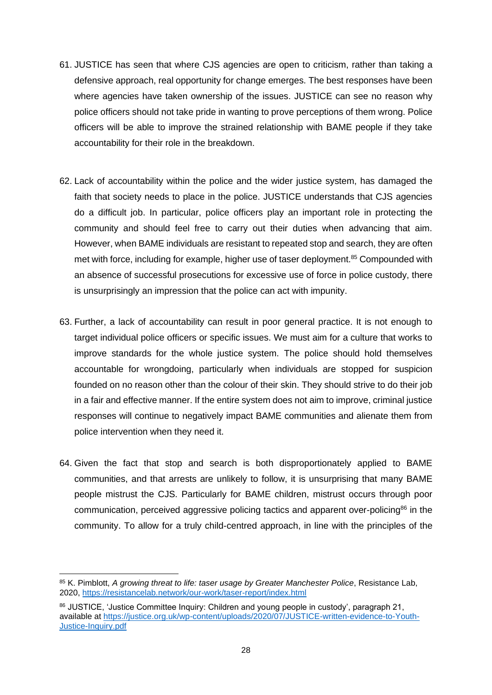- 61. JUSTICE has seen that where CJS agencies are open to criticism, rather than taking a defensive approach, real opportunity for change emerges. The best responses have been where agencies have taken ownership of the issues. JUSTICE can see no reason why police officers should not take pride in wanting to prove perceptions of them wrong. Police officers will be able to improve the strained relationship with BAME people if they take accountability for their role in the breakdown.
- 62. Lack of accountability within the police and the wider justice system, has damaged the faith that society needs to place in the police. JUSTICE understands that CJS agencies do a difficult job. In particular, police officers play an important role in protecting the community and should feel free to carry out their duties when advancing that aim. However, when BAME individuals are resistant to repeated stop and search, they are often met with force, including for example, higher use of taser deployment.<sup>85</sup> Compounded with an absence of successful prosecutions for excessive use of force in police custody, there is unsurprisingly an impression that the police can act with impunity.
- 63. Further, a lack of accountability can result in poor general practice. It is not enough to target individual police officers or specific issues. We must aim for a culture that works to improve standards for the whole justice system. The police should hold themselves accountable for wrongdoing, particularly when individuals are stopped for suspicion founded on no reason other than the colour of their skin. They should strive to do their job in a fair and effective manner. If the entire system does not aim to improve, criminal justice responses will continue to negatively impact BAME communities and alienate them from police intervention when they need it.
- 64. Given the fact that stop and search is both disproportionately applied to BAME communities, and that arrests are unlikely to follow, it is unsurprising that many BAME people mistrust the CJS. Particularly for BAME children, mistrust occurs through poor communication, perceived aggressive policing tactics and apparent over-policing<sup>86</sup> in the community. To allow for a truly child-centred approach, in line with the principles of the

<sup>85</sup> K. Pimblott, *A growing threat to life: taser usage by Greater Manchester Police*, Resistance Lab, 2020,<https://resistancelab.network/our-work/taser-report/index.html>

<sup>86</sup> JUSTICE, 'Justice Committee Inquiry: Children and young people in custody', paragraph 21, available at [https://justice.org.uk/wp-content/uploads/2020/07/JUSTICE-written-evidence-to-Youth-](https://justice.org.uk/wp-content/uploads/2020/07/JUSTICE-written-evidence-to-Youth-Justice-Inquiry.pdf)[Justice-Inquiry.pdf](https://justice.org.uk/wp-content/uploads/2020/07/JUSTICE-written-evidence-to-Youth-Justice-Inquiry.pdf)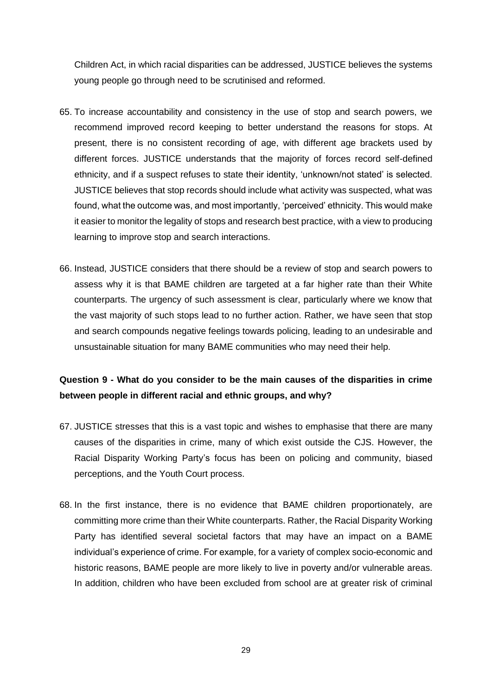Children Act, in which racial disparities can be addressed, JUSTICE believes the systems young people go through need to be scrutinised and reformed.

- 65. To increase accountability and consistency in the use of stop and search powers, we recommend improved record keeping to better understand the reasons for stops. At present, there is no consistent recording of age, with different age brackets used by different forces. JUSTICE understands that the majority of forces record self-defined ethnicity, and if a suspect refuses to state their identity, 'unknown/not stated' is selected. JUSTICE believes that stop records should include what activity was suspected, what was found, what the outcome was, and most importantly, 'perceived' ethnicity. This would make it easier to monitor the legality of stops and research best practice, with a view to producing learning to improve stop and search interactions.
- 66. Instead, JUSTICE considers that there should be a review of stop and search powers to assess why it is that BAME children are targeted at a far higher rate than their White counterparts. The urgency of such assessment is clear, particularly where we know that the vast majority of such stops lead to no further action. Rather, we have seen that stop and search compounds negative feelings towards policing, leading to an undesirable and unsustainable situation for many BAME communities who may need their help.

# <span id="page-28-0"></span>**Question 9 - What do you consider to be the main causes of the disparities in crime between people in different racial and ethnic groups, and why?**

- 67. JUSTICE stresses that this is a vast topic and wishes to emphasise that there are many causes of the disparities in crime, many of which exist outside the CJS. However, the Racial Disparity Working Party's focus has been on policing and community, biased perceptions, and the Youth Court process.
- 68. In the first instance, there is no evidence that BAME children proportionately, are committing more crime than their White counterparts. Rather, the Racial Disparity Working Party has identified several societal factors that may have an impact on a BAME individual's experience of crime. For example, for a variety of complex socio-economic and historic reasons, BAME people are more likely to live in poverty and/or vulnerable areas. In addition, children who have been excluded from school are at greater risk of criminal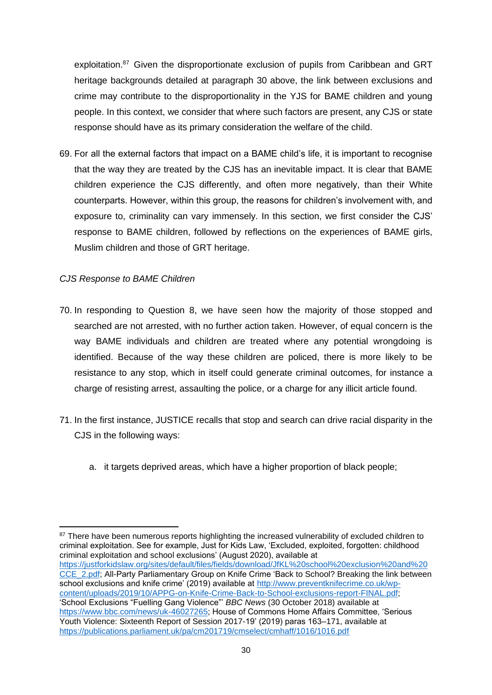exploitation.<sup>87</sup> Given the disproportionate exclusion of pupils from Caribbean and GRT heritage backgrounds detailed at paragraph [30](#page-13-0) above, the link between exclusions and crime may contribute to the disproportionality in the YJS for BAME children and young people. In this context, we consider that where such factors are present, any CJS or state response should have as its primary consideration the welfare of the child.

69. For all the external factors that impact on a BAME child's life, it is important to recognise that the way they are treated by the CJS has an inevitable impact. It is clear that BAME children experience the CJS differently, and often more negatively, than their White counterparts. However, within this group, the reasons for children's involvement with, and exposure to, criminality can vary immensely. In this section, we first consider the CJS' response to BAME children, followed by reflections on the experiences of BAME girls, Muslim children and those of GRT heritage.

# *CJS Response to BAME Children*

- 70. In responding to Question 8, we have seen how the majority of those stopped and searched are not arrested, with no further action taken. However, of equal concern is the way BAME individuals and children are treated where any potential wrongdoing is identified. Because of the way these children are policed, there is more likely to be resistance to any stop, which in itself could generate criminal outcomes, for instance a charge of resisting arrest, assaulting the police, or a charge for any illicit article found.
- 71. In the first instance, JUSTICE recalls that stop and search can drive racial disparity in the CJS in the following ways:
	- a. it targets deprived areas, which have a higher proportion of black people;

<sup>&</sup>lt;sup>87</sup> There have been numerous reports highlighting the increased vulnerability of excluded children to criminal exploitation. See for example, Just for Kids Law, 'Excluded, exploited, forgotten: childhood criminal exploitation and school exclusions' (August 2020), available at [https://justforkidslaw.org/sites/default/files/fields/download/JfKL%20school%20exclusion%20and%20](https://justforkidslaw.org/sites/default/files/fields/download/JfKL%20school%20exclusion%20and%20CCE_2.pdf) [CCE\\_2.pdf;](https://justforkidslaw.org/sites/default/files/fields/download/JfKL%20school%20exclusion%20and%20CCE_2.pdf) All-Party Parliamentary Group on Knife Crime 'Back to School? Breaking the link between school exclusions and knife crime' (2019) available at [http://www.preventknifecrime.co.uk/wp](http://www.preventknifecrime.co.uk/wp-content/uploads/2019/10/APPG-on-Knife-Crime-Back-to-School-exclusions-report-FINAL.pdf)[content/uploads/2019/10/APPG-on-Knife-Crime-Back-to-School-exclusions-report-FINAL.pdf;](http://www.preventknifecrime.co.uk/wp-content/uploads/2019/10/APPG-on-Knife-Crime-Back-to-School-exclusions-report-FINAL.pdf) 'School Exclusions "Fuelling Gang Violence"' *BBC News* (30 October 2018) available at [https://www.bbc.com/news/uk-46027265;](https://www.bbc.com/news/uk-46027265) House of Commons Home Affairs Committee, 'Serious Youth Violence: Sixteenth Report of Session 2017-19' (2019) paras 163–171, available at <https://publications.parliament.uk/pa/cm201719/cmselect/cmhaff/1016/1016.pdf>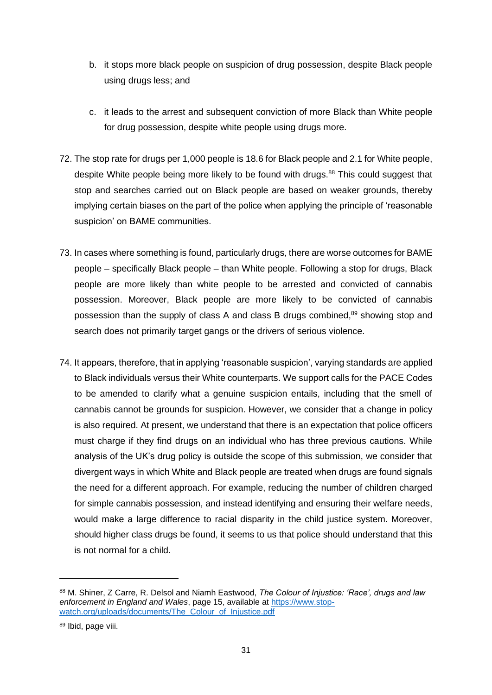- b. it stops more black people on suspicion of drug possession, despite Black people using drugs less; and
- c. it leads to the arrest and subsequent conviction of more Black than White people for drug possession, despite white people using drugs more.
- 72. The stop rate for drugs per 1,000 people is 18.6 for Black people and 2.1 for White people, despite White people being more likely to be found with drugs.<sup>88</sup> This could suggest that stop and searches carried out on Black people are based on weaker grounds, thereby implying certain biases on the part of the police when applying the principle of 'reasonable suspicion' on BAME communities.
- 73. In cases where something is found, particularly drugs, there are worse outcomes for BAME people – specifically Black people – than White people. Following a stop for drugs, Black people are more likely than white people to be arrested and convicted of cannabis possession. Moreover, Black people are more likely to be convicted of cannabis possession than the supply of class A and class B drugs combined,<sup>89</sup> showing stop and search does not primarily target gangs or the drivers of serious violence.
- 74. It appears, therefore, that in applying 'reasonable suspicion', varying standards are applied to Black individuals versus their White counterparts. We support calls for the PACE Codes to be amended to clarify what a genuine suspicion entails, including that the smell of cannabis cannot be grounds for suspicion. However, we consider that a change in policy is also required. At present, we understand that there is an expectation that police officers must charge if they find drugs on an individual who has three previous cautions. While analysis of the UK's drug policy is outside the scope of this submission, we consider that divergent ways in which White and Black people are treated when drugs are found signals the need for a different approach. For example, reducing the number of children charged for simple cannabis possession, and instead identifying and ensuring their welfare needs, would make a large difference to racial disparity in the child justice system. Moreover, should higher class drugs be found, it seems to us that police should understand that this is not normal for a child.

<sup>88</sup> M. Shiner, Z Carre, R. Delsol and Niamh Eastwood, *The Colour of Injustice: 'Race', drugs and law enforcement in England and Wales*, page 15, available at [https://www.stop](https://www.stop-watch.org/uploads/documents/The_Colour_of_Injustice.pdf)[watch.org/uploads/documents/The\\_Colour\\_of\\_Injustice.pdf](https://www.stop-watch.org/uploads/documents/The_Colour_of_Injustice.pdf)

<sup>89</sup> Ibid, page viii.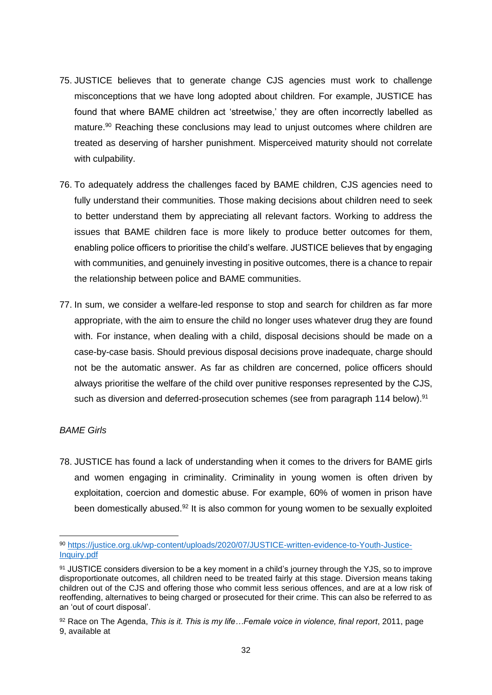- 75. JUSTICE believes that to generate change CJS agencies must work to challenge misconceptions that we have long adopted about children. For example, JUSTICE has found that where BAME children act 'streetwise,' they are often incorrectly labelled as mature.<sup>90</sup> Reaching these conclusions may lead to unjust outcomes where children are treated as deserving of harsher punishment. Misperceived maturity should not correlate with culpability.
- 76. To adequately address the challenges faced by BAME children, CJS agencies need to fully understand their communities. Those making decisions about children need to seek to better understand them by appreciating all relevant factors. Working to address the issues that BAME children face is more likely to produce better outcomes for them, enabling police officers to prioritise the child's welfare. JUSTICE believes that by engaging with communities, and genuinely investing in positive outcomes, there is a chance to repair the relationship between police and BAME communities.
- 77. In sum, we consider a welfare-led response to stop and search for children as far more appropriate, with the aim to ensure the child no longer uses whatever drug they are found with. For instance, when dealing with a child, disposal decisions should be made on a case-by-case basis. Should previous disposal decisions prove inadequate, charge should not be the automatic answer. As far as children are concerned, police officers should always prioritise the welfare of the child over punitive responses represented by the CJS, such as diversion and deferred-prosecution schemes (see from paragraph [114](#page-42-0) below).<sup>91</sup>

# *BAME Girls*

78. JUSTICE has found a lack of understanding when it comes to the drivers for BAME girls and women engaging in criminality. Criminality in young women is often driven by exploitation, coercion and domestic abuse. For example, 60% of women in prison have been domestically abused.<sup>92</sup> It is also common for young women to be sexually exploited

<sup>90</sup> [https://justice.org.uk/wp-content/uploads/2020/07/JUSTICE-written-evidence-to-Youth-Justice-](https://justice.org.uk/wp-content/uploads/2020/07/JUSTICE-written-evidence-to-Youth-Justice-Inquiry.pdf)[Inquiry.pdf](https://justice.org.uk/wp-content/uploads/2020/07/JUSTICE-written-evidence-to-Youth-Justice-Inquiry.pdf) 

<sup>91</sup> JUSTICE considers diversion to be a key moment in a child's journey through the YJS, so to improve disproportionate outcomes, all children need to be treated fairly at this stage. Diversion means taking children out of the CJS and offering those who commit less serious offences, and are at a low risk of reoffending, alternatives to being charged or prosecuted for their crime. This can also be referred to as an 'out of court disposal'.

<sup>92</sup> Race on The Agenda, *This is it. This is my life…Female voice in violence, final report*, 2011, page 9, available at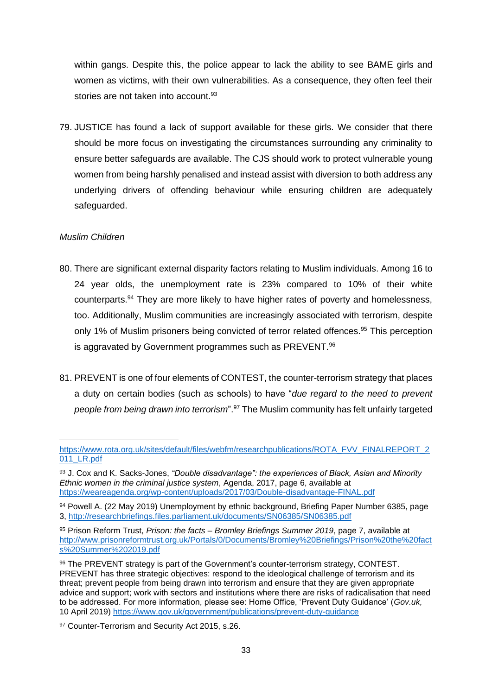within gangs. Despite this, the police appear to lack the ability to see BAME girls and women as victims, with their own vulnerabilities. As a consequence, they often feel their stories are not taken into account.<sup>93</sup>

79. JUSTICE has found a lack of support available for these girls. We consider that there should be more focus on investigating the circumstances surrounding any criminality to ensure better safeguards are available. The CJS should work to protect vulnerable young women from being harshly penalised and instead assist with diversion to both address any underlying drivers of offending behaviour while ensuring children are adequately safeguarded.

# *Muslim Children*

- 80. There are significant external disparity factors relating to Muslim individuals. Among 16 to 24 year olds, the unemployment rate is 23% compared to 10% of their white counterparts.<sup>94</sup> They are more likely to have higher rates of poverty and homelessness, too. Additionally, Muslim communities are increasingly associated with terrorism, despite only 1% of Muslim prisoners being convicted of terror related offences.<sup>95</sup> This perception is aggravated by Government programmes such as PREVENT.<sup>96</sup>
- 81. PREVENT is one of four elements of CONTEST, the counter-terrorism strategy that places a duty on certain bodies (such as schools) to have "*due regard to the need to prevent people from being drawn into terrorism*".<sup>97</sup> The Muslim community has felt unfairly targeted

[https://www.rota.org.uk/sites/default/files/webfm/researchpublications/ROTA\\_FVV\\_FINALREPORT\\_2](https://www.rota.org.uk/sites/default/files/webfm/researchpublications/ROTA_FVV_FINALREPORT_2011_LR.pdf) [011\\_LR.pdf](https://www.rota.org.uk/sites/default/files/webfm/researchpublications/ROTA_FVV_FINALREPORT_2011_LR.pdf)

<sup>93</sup> J. Cox and K. Sacks-Jones, *"Double disadvantage": the experiences of Black, Asian and Minority Ethnic women in the criminal justice system*, Agenda, 2017, page 6, available at <https://weareagenda.org/wp-content/uploads/2017/03/Double-disadvantage-FINAL.pdf>

<sup>94</sup> Powell A. (22 May 2019) Unemployment by ethnic background, Briefing Paper Number 6385, page 3,<http://researchbriefings.files.parliament.uk/documents/SN06385/SN06385.pdf>

<sup>95</sup> Prison Reform Trust, *Prison: the facts – Bromley Briefings Summer 2019*, page 7, available at [http://www.prisonreformtrust.org.uk/Portals/0/Documents/Bromley%20Briefings/Prison%20the%20fact](http://www.prisonreformtrust.org.uk/Portals/0/Documents/Bromley%20Briefings/Prison%20the%20facts%20Summer%202019.pdf) [s%20Summer%202019.pdf](http://www.prisonreformtrust.org.uk/Portals/0/Documents/Bromley%20Briefings/Prison%20the%20facts%20Summer%202019.pdf)

<sup>96</sup> The PREVENT strategy is part of the Government's counter-terrorism strategy, CONTEST. PREVENT has three strategic objectives: respond to the ideological challenge of terrorism and its threat; prevent people from being drawn into terrorism and ensure that they are given appropriate advice and support; work with sectors and institutions where there are risks of radicalisation that need to be addressed. For more information, please see: Home Office, 'Prevent Duty Guidance' (*Gov.uk,*  10 April 2019)<https://www.gov.uk/government/publications/prevent-duty-guidance>

<sup>97</sup> Counter-Terrorism and Security Act 2015, s.26.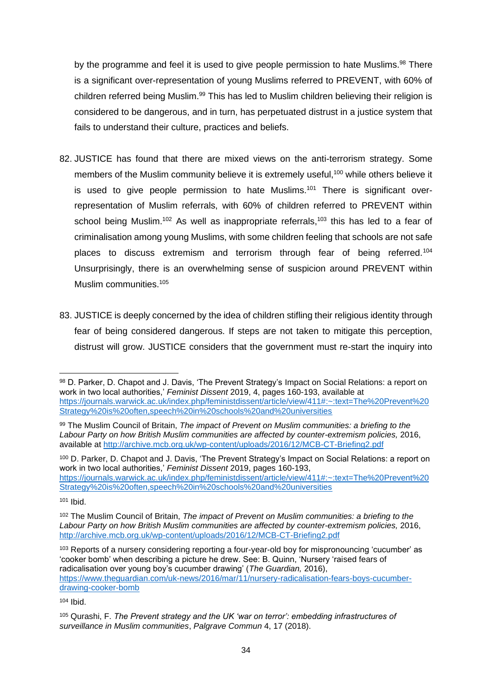by the programme and feel it is used to give people permission to hate Muslims.<sup>98</sup> There is a significant over-representation of young Muslims referred to PREVENT, with 60% of children referred being Muslim.<sup>99</sup> This has led to Muslim children believing their religion is considered to be dangerous, and in turn, has perpetuated distrust in a justice system that fails to understand their culture, practices and beliefs.

- 82. JUSTICE has found that there are mixed views on the anti-terrorism strategy. Some members of the Muslim community believe it is extremely useful,<sup>100</sup> while others believe it is used to give people permission to hate Muslims.<sup>101</sup> There is significant overrepresentation of Muslim referrals, with 60% of children referred to PREVENT within school being Muslim.<sup>102</sup> As well as inappropriate referrals,<sup>103</sup> this has led to a fear of criminalisation among young Muslims, with some children feeling that schools are not safe places to discuss extremism and terrorism through fear of being referred.<sup>104</sup> Unsurprisingly, there is an overwhelming sense of suspicion around PREVENT within Muslim communities.<sup>105</sup>
- 83. JUSTICE is deeply concerned by the idea of children stifling their religious identity through fear of being considered dangerous. If steps are not taken to mitigate this perception, distrust will grow. JUSTICE considers that the government must re-start the inquiry into

<sup>100</sup> D. Parker, D. Chapot and J. Davis, 'The Prevent Strategy's Impact on Social Relations: a report on work in two local authorities,' *Feminist Dissent* 2019, pages 160-193, [https://journals.warwick.ac.uk/index.php/feministdissent/article/view/411#:~:text=The%20Prevent%20](https://journals.warwick.ac.uk/index.php/feministdissent/article/view/411#:~:text=The%20Prevent%20Strategy%20is%20often,speech%20in%20schools%20and%20universities) [Strategy%20is%20often,speech%20in%20schools%20and%20universities](https://journals.warwick.ac.uk/index.php/feministdissent/article/view/411#:~:text=The%20Prevent%20Strategy%20is%20often,speech%20in%20schools%20and%20universities)

103 Reports of a nursery considering reporting a four-year-old boy for mispronouncing 'cucumber' as 'cooker bomb' when describing a picture he drew. See: B. Quinn, 'Nursery 'raised fears of radicalisation over young boy's cucumber drawing' (*The Guardian,* 2016), [https://www.theguardian.com/uk-news/2016/mar/11/nursery-radicalisation-fears-boys-cucumber](https://www.theguardian.com/uk-news/2016/mar/11/nursery-radicalisation-fears-boys-cucumber-drawing-cooker-bomb)[drawing-cooker-bomb](https://www.theguardian.com/uk-news/2016/mar/11/nursery-radicalisation-fears-boys-cucumber-drawing-cooker-bomb)

<sup>104</sup> Ibid.

<sup>98</sup> D. Parker, D. Chapot and J. Davis, 'The Prevent Strategy's Impact on Social Relations: a report on work in two local authorities,' *Feminist Dissent* 2019, 4, pages 160-193, available at [https://journals.warwick.ac.uk/index.php/feministdissent/article/view/411#:~:text=The%20Prevent%20](https://journals.warwick.ac.uk/index.php/feministdissent/article/view/411#:~:text=The%20Prevent%20Strategy%20is%20often,speech%20in%20schools%20and%20universities) [Strategy%20is%20often,speech%20in%20schools%20and%20universities](https://journals.warwick.ac.uk/index.php/feministdissent/article/view/411#:~:text=The%20Prevent%20Strategy%20is%20often,speech%20in%20schools%20and%20universities) 

<sup>99</sup> The Muslim Council of Britain, *The impact of Prevent on Muslim communities: a briefing to the*  Labour Party on how British Muslim communities are affected by counter-extremism policies, 2016, available at<http://archive.mcb.org.uk/wp-content/uploads/2016/12/MCB-CT-Briefing2.pdf>

<sup>101</sup> Ibid.

<sup>102</sup> The Muslim Council of Britain, *The impact of Prevent on Muslim communities: a briefing to the*  Labour Party on how British Muslim communities are affected by counter-extremism policies, 2016, <http://archive.mcb.org.uk/wp-content/uploads/2016/12/MCB-CT-Briefing2.pdf>

<sup>105</sup> Qurashi, F. *The Prevent strategy and the UK 'war on terror': embedding infrastructures of surveillance in Muslim communities*, *Palgrave Commun* 4, 17 (2018).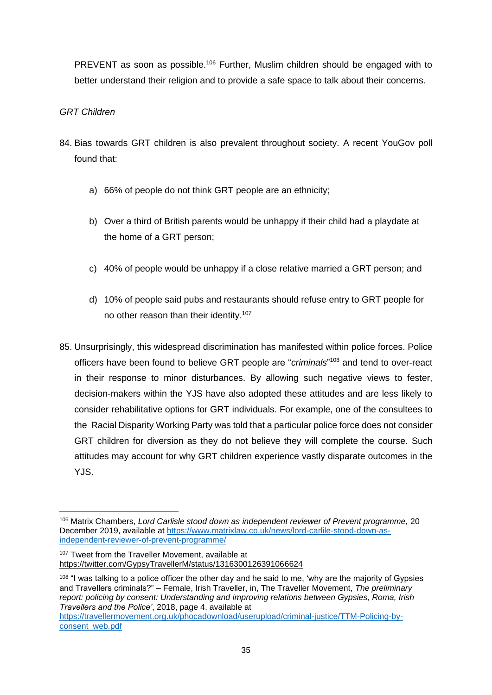PREVENT as soon as possible.<sup>106</sup> Further, Muslim children should be engaged with to better understand their religion and to provide a safe space to talk about their concerns.

# *GRT Children*

- 84. Bias towards GRT children is also prevalent throughout society. A recent YouGov poll found that:
	- a) 66% of people do not think GRT people are an ethnicity;
	- b) Over a third of British parents would be unhappy if their child had a playdate at the home of a GRT person;
	- c) 40% of people would be unhappy if a close relative married a GRT person; and
	- d) 10% of people said pubs and restaurants should refuse entry to GRT people for no other reason than their identity.<sup>107</sup>
- 85. Unsurprisingly, this widespread discrimination has manifested within police forces. Police officers have been found to believe GRT people are "*criminals*" <sup>108</sup> and tend to over-react in their response to minor disturbances. By allowing such negative views to fester, decision-makers within the YJS have also adopted these attitudes and are less likely to consider rehabilitative options for GRT individuals. For example, one of the consultees to the Racial Disparity Working Party was told that a particular police force does not consider GRT children for diversion as they do not believe they will complete the course. Such attitudes may account for why GRT children experience vastly disparate outcomes in the YJS.

<sup>106</sup> Matrix Chambers, *Lord Carlisle stood down as independent reviewer of Prevent programme,* 20 December 2019, available at [https://www.matrixlaw.co.uk/news/lord-carlile-stood-down-as](https://www.matrixlaw.co.uk/news/lord-carlile-stood-down-as-independent-reviewer-of-prevent-programme/)[independent-reviewer-of-prevent-programme/](https://www.matrixlaw.co.uk/news/lord-carlile-stood-down-as-independent-reviewer-of-prevent-programme/)

<sup>&</sup>lt;sup>107</sup> Tweet from the Traveller Movement, available at <https://twitter.com/GypsyTravellerM/status/1316300126391066624>

<sup>&</sup>lt;sup>108</sup> "I was talking to a police officer the other day and he said to me, 'why are the majority of Gypsies and Travellers criminals?" – Female, Irish Traveller, in, The Traveller Movement, *The preliminary report: policing by consent: Understanding and improving relations between Gypsies, Roma, Irish Travellers and the Police'*, 2018, page 4, available at

[https://travellermovement.org.uk/phocadownload/userupload/criminal-justice/TTM-Policing-by](https://travellermovement.org.uk/phocadownload/userupload/criminal-justice/TTM-Policing-by-consent_web.pdf)[consent\\_web.pdf](https://travellermovement.org.uk/phocadownload/userupload/criminal-justice/TTM-Policing-by-consent_web.pdf)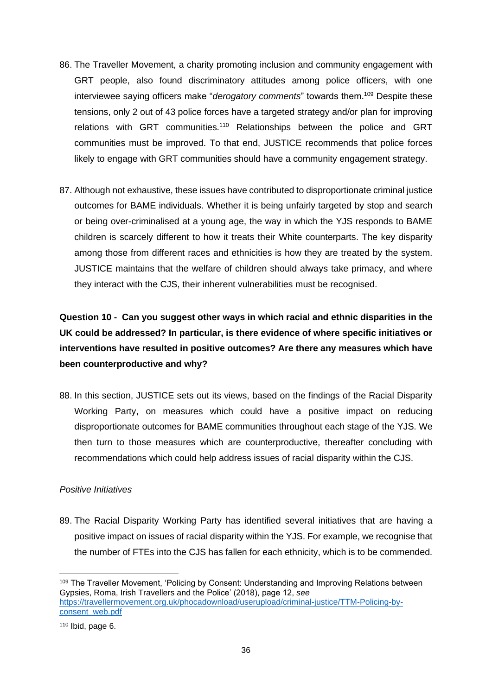- <span id="page-35-1"></span>86. The Traveller Movement, a charity promoting inclusion and community engagement with GRT people, also found discriminatory attitudes among police officers, with one interviewee saying officers make "*derogatory comments*" towards them.<sup>109</sup> Despite these tensions, only 2 out of 43 police forces have a targeted strategy and/or plan for improving relations with GRT communities.<sup>110</sup> Relationships between the police and GRT communities must be improved. To that end, JUSTICE recommends that police forces likely to engage with GRT communities should have a community engagement strategy.
- 87. Although not exhaustive, these issues have contributed to disproportionate criminal justice outcomes for BAME individuals. Whether it is being unfairly targeted by stop and search or being over-criminalised at a young age, the way in which the YJS responds to BAME children is scarcely different to how it treats their White counterparts. The key disparity among those from different races and ethnicities is how they are treated by the system. JUSTICE maintains that the welfare of children should always take primacy, and where they interact with the CJS, their inherent vulnerabilities must be recognised.

<span id="page-35-0"></span>**Question 10 - Can you suggest other ways in which racial and ethnic disparities in the UK could be addressed? In particular, is there evidence of where specific initiatives or interventions have resulted in positive outcomes? Are there any measures which have been counterproductive and why?**

88. In this section, JUSTICE sets out its views, based on the findings of the Racial Disparity Working Party, on measures which could have a positive impact on reducing disproportionate outcomes for BAME communities throughout each stage of the YJS. We then turn to those measures which are counterproductive, thereafter concluding with recommendations which could help address issues of racial disparity within the CJS.

# *Positive Initiatives*

89. The Racial Disparity Working Party has identified several initiatives that are having a positive impact on issues of racial disparity within the YJS. For example, we recognise that the number of FTEs into the CJS has fallen for each ethnicity, which is to be commended.

<sup>&</sup>lt;sup>109</sup> The Traveller Movement, 'Policing by Consent: Understanding and Improving Relations between Gypsies, Roma, Irish Travellers and the Police' (2018), page 12, *see* [https://travellermovement.org.uk/phocadownload/userupload/criminal-justice/TTM-Policing-by](https://travellermovement.org.uk/phocadownload/userupload/criminal-justice/TTM-Policing-by-consent_web.pdf)[consent\\_web.pdf](https://travellermovement.org.uk/phocadownload/userupload/criminal-justice/TTM-Policing-by-consent_web.pdf) 

 $110$  Ibid, page 6.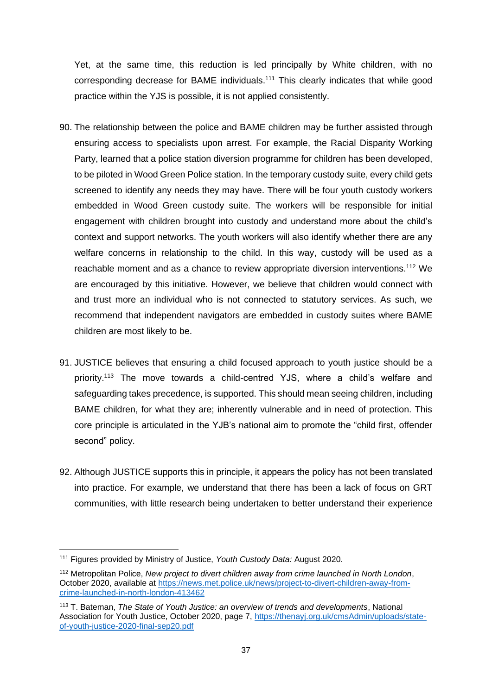Yet, at the same time, this reduction is led principally by White children, with no corresponding decrease for BAME individuals.<sup>111</sup> This clearly indicates that while good practice within the YJS is possible, it is not applied consistently.

- 90. The relationship between the police and BAME children may be further assisted through ensuring access to specialists upon arrest. For example, the Racial Disparity Working Party, learned that a police station diversion programme for children has been developed, to be piloted in Wood Green Police station. In the temporary custody suite, every child gets screened to identify any needs they may have. There will be four youth custody workers embedded in Wood Green custody suite. The workers will be responsible for initial engagement with children brought into custody and understand more about the child's context and support networks. The youth workers will also identify whether there are any welfare concerns in relationship to the child. In this way, custody will be used as a reachable moment and as a chance to review appropriate diversion interventions.<sup>112</sup> We are encouraged by this initiative. However, we believe that children would connect with and trust more an individual who is not connected to statutory services. As such, we recommend that independent navigators are embedded in custody suites where BAME children are most likely to be.
- 91. JUSTICE believes that ensuring a child focused approach to youth justice should be a priority.<sup>113</sup> The move towards a child-centred YJS, where a child's welfare and safeguarding takes precedence, is supported. This should mean seeing children, including BAME children, for what they are; inherently vulnerable and in need of protection. This core principle is articulated in the YJB's national aim to promote the "child first, offender second" policy.
- 92. Although JUSTICE supports this in principle, it appears the policy has not been translated into practice. For example, we understand that there has been a lack of focus on GRT communities, with little research being undertaken to better understand their experience

<sup>111</sup> Figures provided by Ministry of Justice, *Youth Custody Data:* August 2020.

<sup>112</sup> Metropolitan Police, *New project to divert children away from crime launched in North London*, October 2020, available at [https://news.met.police.uk/news/project-to-divert-children-away-from](https://news.met.police.uk/news/project-to-divert-children-away-from-crime-launched-in-north-london-413462)[crime-launched-in-north-london-413462](https://news.met.police.uk/news/project-to-divert-children-away-from-crime-launched-in-north-london-413462)

<sup>113</sup> T. Bateman, *The State of Youth Justice: an overview of trends and developments*, National Association for Youth Justice, October 2020, page 7, [https://thenayj.org.uk/cmsAdmin/uploads/state](https://thenayj.org.uk/cmsAdmin/uploads/state-of-youth-justice-2020-final-sep20.pdf)[of-youth-justice-2020-final-sep20.pdf](https://thenayj.org.uk/cmsAdmin/uploads/state-of-youth-justice-2020-final-sep20.pdf)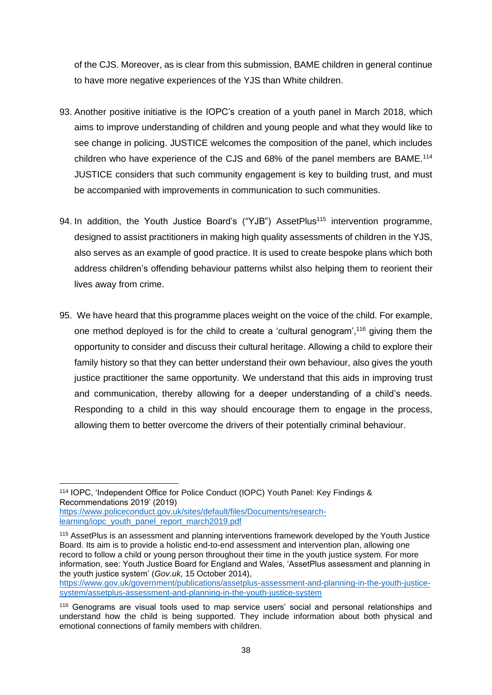of the CJS. Moreover, as is clear from this submission, BAME children in general continue to have more negative experiences of the YJS than White children.

- 93. Another positive initiative is the IOPC's creation of a youth panel in March 2018, which aims to improve understanding of children and young people and what they would like to see change in policing. JUSTICE welcomes the composition of the panel, which includes children who have experience of the CJS and 68% of the panel members are BAME.<sup>114</sup> JUSTICE considers that such community engagement is key to building trust, and must be accompanied with improvements in communication to such communities.
- 94. In addition, the Youth Justice Board's ("YJB") AssetPlus<sup>115</sup> intervention programme, designed to assist practitioners in making high quality assessments of children in the YJS, also serves as an example of good practice. It is used to create bespoke plans which both address children's offending behaviour patterns whilst also helping them to reorient their lives away from crime.
- 95. We have heard that this programme places weight on the voice of the child. For example, one method deployed is for the child to create a 'cultural genogram',<sup>116</sup> giving them the opportunity to consider and discuss their cultural heritage. Allowing a child to explore their family history so that they can better understand their own behaviour, also gives the youth justice practitioner the same opportunity. We understand that this aids in improving trust and communication, thereby allowing for a deeper understanding of a child's needs. Responding to a child in this way should encourage them to engage in the process, allowing them to better overcome the drivers of their potentially criminal behaviour.

<sup>114</sup> IOPC, 'Independent Office for Police Conduct (IOPC) Youth Panel: Key Findings & Recommendations 2019' (2019)

[https://www.policeconduct.gov.uk/sites/default/files/Documents/research](https://www.policeconduct.gov.uk/sites/default/files/Documents/research-learning/iopc_youth_panel_report_march2019.pdf)[learning/iopc\\_youth\\_panel\\_report\\_march2019.pdf](https://www.policeconduct.gov.uk/sites/default/files/Documents/research-learning/iopc_youth_panel_report_march2019.pdf) 

<sup>115</sup> AssetPlus is an assessment and planning interventions framework developed by the Youth Justice Board. Its aim is to provide a holistic end-to-end assessment and intervention plan, allowing one record to follow a child or young person throughout their time in the youth justice system. For more information, see: Youth Justice Board for England and Wales, 'AssetPlus assessment and planning in the youth justice system' (*Gov.uk,* 15 October 2014), [https://www.gov.uk/government/publications/assetplus-assessment-and-planning-in-the-youth-justice-](https://www.gov.uk/government/publications/assetplus-assessment-and-planning-in-the-youth-justice-system/assetplus-assessment-and-planning-in-the-youth-justice-system)

[system/assetplus-assessment-and-planning-in-the-youth-justice-system](https://www.gov.uk/government/publications/assetplus-assessment-and-planning-in-the-youth-justice-system/assetplus-assessment-and-planning-in-the-youth-justice-system)

<sup>116</sup> Genograms are visual tools used to map service users' social and personal relationships and understand how the child is being supported. They include information about both physical and emotional connections of family members with children.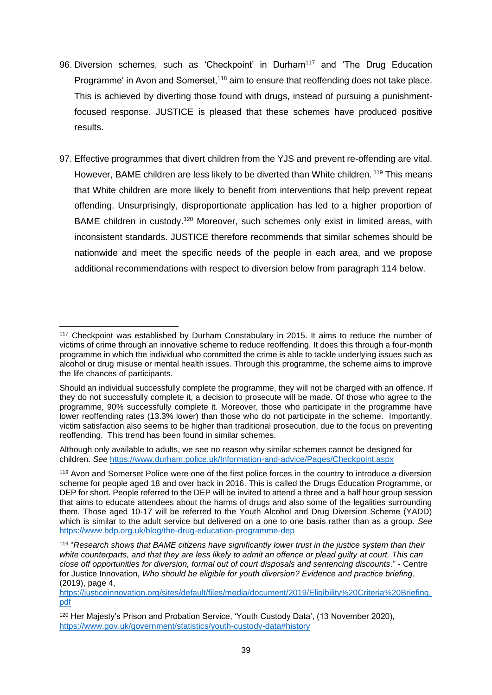- 96. Diversion schemes, such as 'Checkpoint' in Durham<sup>117</sup> and 'The Drug Education Programme' in Avon and Somerset,<sup>118</sup> aim to ensure that reoffending does not take place. This is achieved by diverting those found with drugs, instead of pursuing a punishmentfocused response. JUSTICE is pleased that these schemes have produced positive results.
- 97. Effective programmes that divert children from the YJS and prevent re-offending are vital. However, BAME children are less likely to be diverted than White children. <sup>119</sup> This means that White children are more likely to benefit from interventions that help prevent repeat offending. Unsurprisingly, disproportionate application has led to a higher proportion of BAME children in custody.<sup>120</sup> Moreover, such schemes only exist in limited areas, with inconsistent standards. JUSTICE therefore recommends that similar schemes should be nationwide and meet the specific needs of the people in each area, and we propose additional recommendations with respect to diversion below from paragraph [114](#page-42-0) below.

<sup>117</sup> Checkpoint was established by Durham Constabulary in 2015. It aims to reduce the number of victims of crime through an innovative scheme to reduce reoffending. It does this through a four-month programme in which the individual who committed the crime is able to tackle underlying issues such as alcohol or drug misuse or mental health issues. Through this programme, the scheme aims to improve the life chances of participants.

Should an individual successfully complete the programme, they will not be charged with an offence. If they do not successfully complete it, a decision to prosecute will be made. Of those who agree to the programme, 90% successfully complete it. Moreover, those who participate in the programme have lower reoffending rates (13.3% lower) than those who do not participate in the scheme. Importantly, victim satisfaction also seems to be higher than traditional prosecution, due to the focus on preventing reoffending. This trend has been found in similar schemes.

Although only available to adults, we see no reason why similar schemes cannot be designed for children. *See* <https://www.durham.police.uk/Information-and-advice/Pages/Checkpoint.aspx>

<sup>118</sup> Avon and Somerset Police were one of the first police forces in the country to introduce a diversion scheme for people aged 18 and over back in 2016. This is called the Drugs Education Programme, or DEP for short. People referred to the DEP will be invited to attend a three and a half hour group session that aims to educate attendees about the harms of drugs and also some of the legalities surrounding them. Those aged 10-17 will be referred to the Youth Alcohol and Drug Diversion Scheme (YADD) which is similar to the adult service but delivered on a one to one basis rather than as a group. *See* <https://www.bdp.org.uk/blog/the-drug-education-programme-dep>

<sup>119</sup> "*Research shows that BAME citizens have significantly lower trust in the justice system than their white counterparts, and that they are less likely to admit an offence or plead guilty at court. This can close off opportunities for diversion, formal out of court disposals and sentencing discounts*." - Centre for Justice Innovation, *Who should be eligible for youth diversion? Evidence and practice briefing*, (2019), page 4,

[https://justiceinnovation.org/sites/default/files/media/document/2019/Eligibility%20Criteria%20Briefing.](https://justiceinnovation.org/sites/default/files/media/document/2019/Eligibility%20Criteria%20Briefing.pdf) [pdf](https://justiceinnovation.org/sites/default/files/media/document/2019/Eligibility%20Criteria%20Briefing.pdf)

<sup>&</sup>lt;sup>120</sup> Her Majesty's Prison and Probation Service, 'Youth Custody Data', (13 November 2020), <https://www.gov.uk/government/statistics/youth-custody-data#history>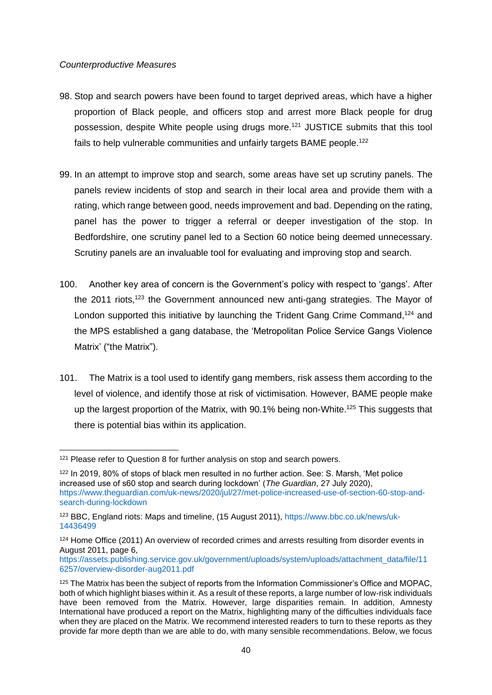### *Counterproductive Measures*

- 98. Stop and search powers have been found to target deprived areas, which have a higher proportion of Black people, and officers stop and arrest more Black people for drug possession, despite White people using drugs more. <sup>121</sup> JUSTICE submits that this tool fails to help vulnerable communities and unfairly targets BAME people.<sup>122</sup>
- 99. In an attempt to improve stop and search, some areas have set up scrutiny panels. The panels review incidents of stop and search in their local area and provide them with a rating, which range between good, needs improvement and bad. Depending on the rating, panel has the power to trigger a referral or deeper investigation of the stop. In Bedfordshire, one scrutiny panel led to a Section 60 notice being deemed unnecessary. Scrutiny panels are an invaluable tool for evaluating and improving stop and search.
- 100. Another key area of concern is the Government's policy with respect to 'gangs'. After the 2011 riots,<sup>123</sup> the Government announced new anti-gang strategies. The Mayor of London supported this initiative by launching the Trident Gang Crime Command,<sup>124</sup> and the MPS established a gang database, the 'Metropolitan Police Service Gangs Violence Matrix' ("the Matrix").
- 101. The Matrix is a tool used to identify gang members, risk assess them according to the level of violence, and identify those at risk of victimisation. However, BAME people make up the largest proportion of the Matrix, with 90.1% being non-White.<sup>125</sup> This suggests that there is potential bias within its application.

<sup>&</sup>lt;sup>121</sup> Please refer to Question 8 for further analysis on stop and search powers.

<sup>122</sup> In 2019, 80% of stops of black men resulted in no further action. See: S. Marsh, 'Met police increased use of s60 stop and search during lockdown' (*The Guardian*, 27 July 2020), [https://www.theguardian.com/uk-news/2020/jul/27/met-police-increased-use-of-section-60-stop-and](https://www.theguardian.com/uk-news/2020/jul/27/met-police-increased-use-of-section-60-stop-and-search-during-lockdown)[search-during-lockdown](https://www.theguardian.com/uk-news/2020/jul/27/met-police-increased-use-of-section-60-stop-and-search-during-lockdown)

<sup>123</sup> BBC, England riots: Maps and timeline, (15 August 2011), [https://www.bbc.co.uk/news/uk-](https://www.bbc.co.uk/news/uk-14436499)[14436499](https://www.bbc.co.uk/news/uk-14436499)

<sup>&</sup>lt;sup>124</sup> Home Office (2011) An overview of recorded crimes and arrests resulting from disorder events in August 2011, page 6,

[https://assets.publishing.service.gov.uk/government/uploads/system/uploads/attachment\\_data/file/11](https://assets.publishing.service.gov.uk/government/uploads/system/uploads/attachment_data/file/116257/overview-disorder-aug2011.pdf) [6257/overview-disorder-aug2011.pdf](https://assets.publishing.service.gov.uk/government/uploads/system/uploads/attachment_data/file/116257/overview-disorder-aug2011.pdf)

<sup>&</sup>lt;sup>125</sup> The Matrix has been the subject of reports from the Information Commissioner's Office and MOPAC. both of which highlight biases within it. As a result of these reports, a large number of low-risk individuals have been removed from the Matrix. However, large disparities remain. In addition, Amnesty International have produced a report on the Matrix, highlighting many of the difficulties individuals face when they are placed on the Matrix. We recommend interested readers to turn to these reports as they provide far more depth than we are able to do, with many sensible recommendations. Below, we focus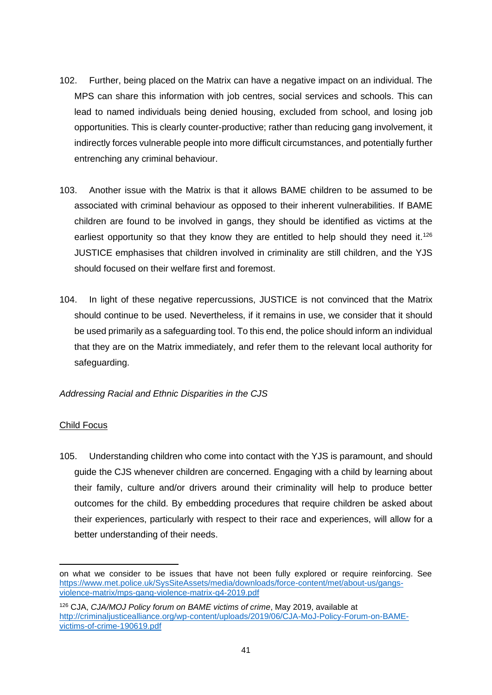- 102. Further, being placed on the Matrix can have a negative impact on an individual. The MPS can share this information with job centres, social services and schools. This can lead to named individuals being denied housing, excluded from school, and losing job opportunities. This is clearly counter-productive; rather than reducing gang involvement, it indirectly forces vulnerable people into more difficult circumstances, and potentially further entrenching any criminal behaviour.
- 103. Another issue with the Matrix is that it allows BAME children to be assumed to be associated with criminal behaviour as opposed to their inherent vulnerabilities. If BAME children are found to be involved in gangs, they should be identified as victims at the earliest opportunity so that they know they are entitled to help should they need it.<sup>126</sup> JUSTICE emphasises that children involved in criminality are still children, and the YJS should focused on their welfare first and foremost.
- 104. In light of these negative repercussions, JUSTICE is not convinced that the Matrix should continue to be used. Nevertheless, if it remains in use, we consider that it should be used primarily as a safeguarding tool. To this end, the police should inform an individual that they are on the Matrix immediately, and refer them to the relevant local authority for safeguarding.

# *Addressing Racial and Ethnic Disparities in the CJS*

# Child Focus

105. Understanding children who come into contact with the YJS is paramount, and should guide the CJS whenever children are concerned. Engaging with a child by learning about their family, culture and/or drivers around their criminality will help to produce better outcomes for the child. By embedding procedures that require children be asked about their experiences, particularly with respect to their race and experiences, will allow for a better understanding of their needs.

on what we consider to be issues that have not been fully explored or require reinforcing. See [https://www.met.police.uk/SysSiteAssets/media/downloads/force-content/met/about-us/gangs](https://www.met.police.uk/SysSiteAssets/media/downloads/force-content/met/about-us/gangs-violence-matrix/mps-gang-violence-matrix-q4-2019.pdf)[violence-matrix/mps-gang-violence-matrix-q4-2019.pdf](https://www.met.police.uk/SysSiteAssets/media/downloads/force-content/met/about-us/gangs-violence-matrix/mps-gang-violence-matrix-q4-2019.pdf)

<sup>126</sup> CJA, *CJA/MOJ Policy forum on BAME victims of crime*, May 2019, available at [http://criminaljusticealliance.org/wp-content/uploads/2019/06/CJA-MoJ-Policy-Forum-on-BAME](http://criminaljusticealliance.org/wp-content/uploads/2019/06/CJA-MoJ-Policy-Forum-on-BAME-victims-of-crime-190619.pdf)[victims-of-crime-190619.pdf](http://criminaljusticealliance.org/wp-content/uploads/2019/06/CJA-MoJ-Policy-Forum-on-BAME-victims-of-crime-190619.pdf)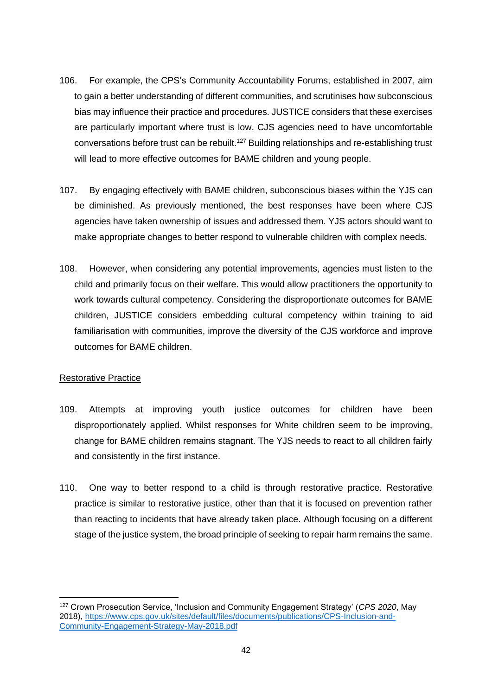- 106. For example, the CPS's Community Accountability Forums, established in 2007, aim to gain a better understanding of different communities, and scrutinises how subconscious bias may influence their practice and procedures. JUSTICE considers that these exercises are particularly important where trust is low. CJS agencies need to have uncomfortable conversations before trust can be rebuilt.<sup>127</sup> Building relationships and re-establishing trust will lead to more effective outcomes for BAME children and young people.
- 107. By engaging effectively with BAME children, subconscious biases within the YJS can be diminished. As previously mentioned, the best responses have been where CJS agencies have taken ownership of issues and addressed them. YJS actors should want to make appropriate changes to better respond to vulnerable children with complex needs.
- 108. However, when considering any potential improvements, agencies must listen to the child and primarily focus on their welfare. This would allow practitioners the opportunity to work towards cultural competency. Considering the disproportionate outcomes for BAME children, JUSTICE considers embedding cultural competency within training to aid familiarisation with communities, improve the diversity of the CJS workforce and improve outcomes for BAME children.

# Restorative Practice

- 109. Attempts at improving youth justice outcomes for children have been disproportionately applied. Whilst responses for White children seem to be improving, change for BAME children remains stagnant. The YJS needs to react to all children fairly and consistently in the first instance.
- 110. One way to better respond to a child is through restorative practice. Restorative practice is similar to restorative justice, other than that it is focused on prevention rather than reacting to incidents that have already taken place. Although focusing on a different stage of the justice system, the broad principle of seeking to repair harm remains the same.

<sup>127</sup> Crown Prosecution Service, 'Inclusion and Community Engagement Strategy' (*CPS 2020*, May 2018), [https://www.cps.gov.uk/sites/default/files/documents/publications/CPS-Inclusion-and-](https://www.cps.gov.uk/sites/default/files/documents/publications/CPS-Inclusion-and-Community-Engagement-Strategy-May-2018.pdf)[Community-Engagement-Strategy-May-2018.pdf](https://www.cps.gov.uk/sites/default/files/documents/publications/CPS-Inclusion-and-Community-Engagement-Strategy-May-2018.pdf)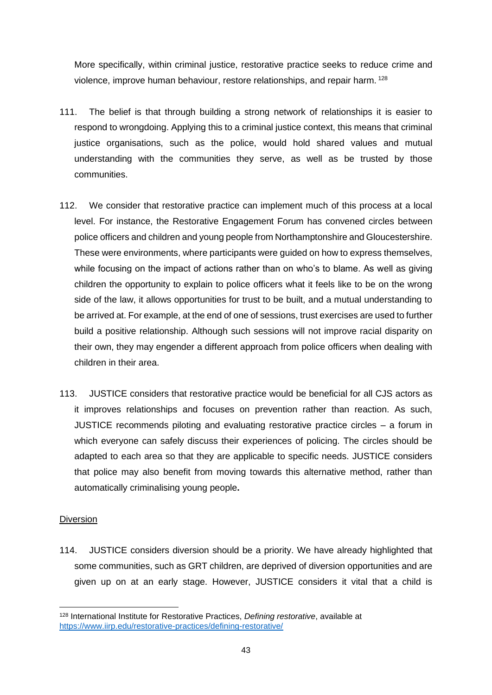More specifically, within criminal justice, restorative practice seeks to reduce crime and violence, improve human behaviour, restore relationships, and repair harm. <sup>128</sup>

- 111. The belief is that through building a strong network of relationships it is easier to respond to wrongdoing. Applying this to a criminal justice context, this means that criminal justice organisations, such as the police, would hold shared values and mutual understanding with the communities they serve, as well as be trusted by those communities.
- 112. We consider that restorative practice can implement much of this process at a local level. For instance, the Restorative Engagement Forum has convened circles between police officers and children and young people from Northamptonshire and Gloucestershire. These were environments, where participants were guided on how to express themselves, while focusing on the impact of actions rather than on who's to blame. As well as giving children the opportunity to explain to police officers what it feels like to be on the wrong side of the law, it allows opportunities for trust to be built, and a mutual understanding to be arrived at. For example, at the end of one of sessions, trust exercises are used to further build a positive relationship. Although such sessions will not improve racial disparity on their own, they may engender a different approach from police officers when dealing with children in their area.
- 113. JUSTICE considers that restorative practice would be beneficial for all CJS actors as it improves relationships and focuses on prevention rather than reaction. As such, JUSTICE recommends piloting and evaluating restorative practice circles – a forum in which everyone can safely discuss their experiences of policing. The circles should be adapted to each area so that they are applicable to specific needs. JUSTICE considers that police may also benefit from moving towards this alternative method, rather than automatically criminalising young people**.**

# Diversion

<span id="page-42-0"></span>114. JUSTICE considers diversion should be a priority. We have already highlighted that some communities, such as GRT children, are deprived of diversion opportunities and are given up on at an early stage. However, JUSTICE considers it vital that a child is

<sup>128</sup> International Institute for Restorative Practices, *Defining restorative*, available at <https://www.iirp.edu/restorative-practices/defining-restorative/>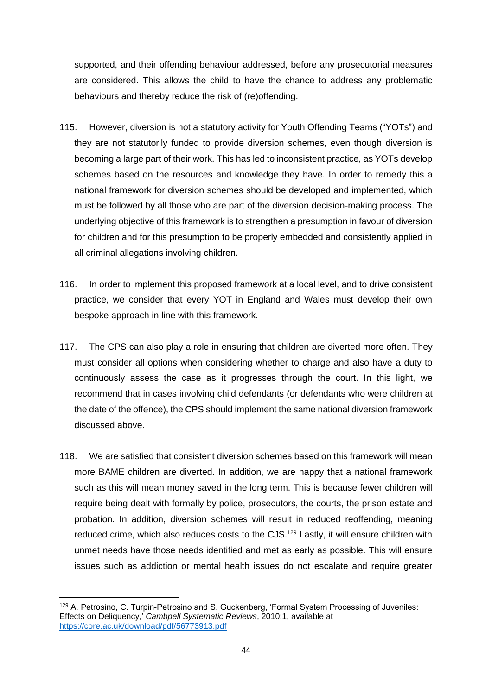supported, and their offending behaviour addressed, before any prosecutorial measures are considered. This allows the child to have the chance to address any problematic behaviours and thereby reduce the risk of (re)offending.

- 115. However, diversion is not a statutory activity for Youth Offending Teams ("YOTs") and they are not statutorily funded to provide diversion schemes, even though diversion is becoming a large part of their work. This has led to inconsistent practice, as YOTs develop schemes based on the resources and knowledge they have. In order to remedy this a national framework for diversion schemes should be developed and implemented, which must be followed by all those who are part of the diversion decision-making process. The underlying objective of this framework is to strengthen a presumption in favour of diversion for children and for this presumption to be properly embedded and consistently applied in all criminal allegations involving children.
- 116. In order to implement this proposed framework at a local level, and to drive consistent practice, we consider that every YOT in England and Wales must develop their own bespoke approach in line with this framework.
- 117. The CPS can also play a role in ensuring that children are diverted more often. They must consider all options when considering whether to charge and also have a duty to continuously assess the case as it progresses through the court. In this light, we recommend that in cases involving child defendants (or defendants who were children at the date of the offence), the CPS should implement the same national diversion framework discussed above.
- 118. We are satisfied that consistent diversion schemes based on this framework will mean more BAME children are diverted. In addition, we are happy that a national framework such as this will mean money saved in the long term. This is because fewer children will require being dealt with formally by police, prosecutors, the courts, the prison estate and probation. In addition, diversion schemes will result in reduced reoffending, meaning reduced crime, which also reduces costs to the CJS.<sup>129</sup> Lastly, it will ensure children with unmet needs have those needs identified and met as early as possible. This will ensure issues such as addiction or mental health issues do not escalate and require greater

<sup>129</sup> A. Petrosino, C. Turpin-Petrosino and S. Guckenberg, 'Formal System Processing of Juveniles: Effects on Deliquency,' *Cambpell Systematic Reviews*, 2010:1, available at <https://core.ac.uk/download/pdf/56773913.pdf>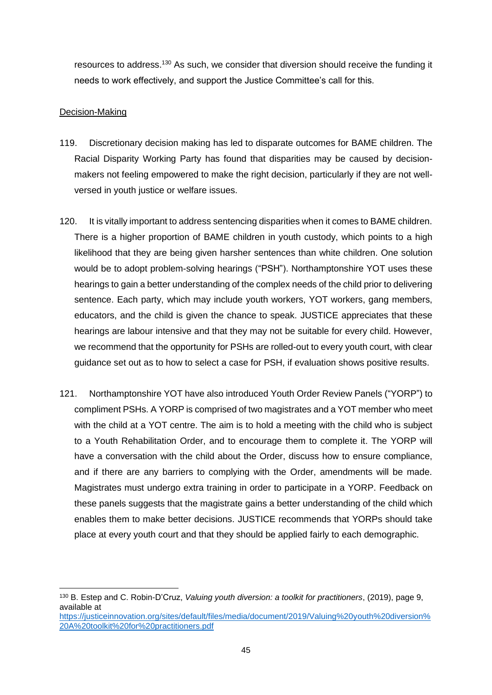resources to address.<sup>130</sup> As such, we consider that diversion should receive the funding it needs to work effectively, and support the Justice Committee's call for this.

# Decision-Making

- 119. Discretionary decision making has led to disparate outcomes for BAME children. The Racial Disparity Working Party has found that disparities may be caused by decisionmakers not feeling empowered to make the right decision, particularly if they are not wellversed in youth justice or welfare issues.
- 120. It is vitally important to address sentencing disparities when it comes to BAME children. There is a higher proportion of BAME children in youth custody, which points to a high likelihood that they are being given harsher sentences than white children. One solution would be to adopt problem-solving hearings ("PSH"). Northamptonshire YOT uses these hearings to gain a better understanding of the complex needs of the child prior to delivering sentence. Each party, which may include youth workers, YOT workers, gang members, educators, and the child is given the chance to speak. JUSTICE appreciates that these hearings are labour intensive and that they may not be suitable for every child. However, we recommend that the opportunity for PSHs are rolled-out to every youth court, with clear guidance set out as to how to select a case for PSH, if evaluation shows positive results.
- 121. Northamptonshire YOT have also introduced Youth Order Review Panels ("YORP") to compliment PSHs. A YORP is comprised of two magistrates and a YOT member who meet with the child at a YOT centre. The aim is to hold a meeting with the child who is subject to a Youth Rehabilitation Order, and to encourage them to complete it. The YORP will have a conversation with the child about the Order, discuss how to ensure compliance, and if there are any barriers to complying with the Order, amendments will be made. Magistrates must undergo extra training in order to participate in a YORP. Feedback on these panels suggests that the magistrate gains a better understanding of the child which enables them to make better decisions. JUSTICE recommends that YORPs should take place at every youth court and that they should be applied fairly to each demographic.

<sup>130</sup> B. Estep and C. Robin-D'Cruz, *Valuing youth diversion: a toolkit for practitioners*, (2019), page 9, available at

[https://justiceinnovation.org/sites/default/files/media/document/2019/Valuing%20youth%20diversion%](https://justiceinnovation.org/sites/default/files/media/document/2019/Valuing%20youth%20diversion%20A%20toolkit%20for%20practitioners.pdf) [20A%20toolkit%20for%20practitioners.pdf](https://justiceinnovation.org/sites/default/files/media/document/2019/Valuing%20youth%20diversion%20A%20toolkit%20for%20practitioners.pdf)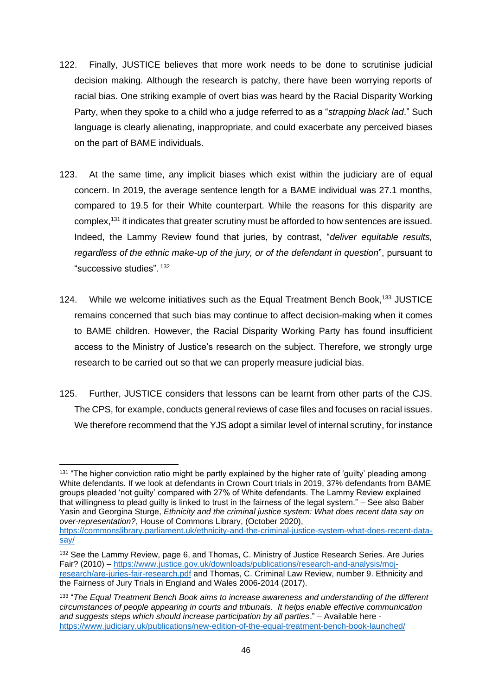- 122. Finally, JUSTICE believes that more work needs to be done to scrutinise judicial decision making. Although the research is patchy, there have been worrying reports of racial bias. One striking example of overt bias was heard by the Racial Disparity Working Party, when they spoke to a child who a judge referred to as a "*strapping black lad*." Such language is clearly alienating, inappropriate, and could exacerbate any perceived biases on the part of BAME individuals.
- 123. At the same time, any implicit biases which exist within the judiciary are of equal concern. In 2019, the average sentence length for a BAME individual was 27.1 months, compared to 19.5 for their White counterpart. While the reasons for this disparity are complex,<sup>131</sup> it indicates that greater scrutiny must be afforded to how sentences are issued. Indeed, the Lammy Review found that juries, by contrast, "*deliver equitable results, regardless of the ethnic make-up of the jury, or of the defendant in question*", pursuant to "successive studies". <sup>132</sup>
- 124. While we welcome initiatives such as the Equal Treatment Bench Book,<sup>133</sup> JUSTICE remains concerned that such bias may continue to affect decision-making when it comes to BAME children. However, the Racial Disparity Working Party has found insufficient access to the Ministry of Justice's research on the subject. Therefore, we strongly urge research to be carried out so that we can properly measure judicial bias.
- 125. Further, JUSTICE considers that lessons can be learnt from other parts of the CJS. The CPS, for example, conducts general reviews of case files and focuses on racial issues. We therefore recommend that the YJS adopt a similar level of internal scrutiny, for instance

<sup>&</sup>lt;sup>131</sup> "The higher conviction ratio might be partly explained by the higher rate of 'guilty' pleading among White defendants. If we look at defendants in Crown Court trials in 2019, 37% defendants from BAME groups pleaded 'not guilty' compared with 27% of White defendants. The Lammy Review explained that willingness to plead guilty is linked to trust in the fairness of the legal system." – See also Baber Yasin and Georgina Sturge, *Ethnicity and the criminal justice system: What does recent data say on over-representation?*, House of Commons Library, (October 2020),

[https://commonslibrary.parliament.uk/ethnicity-and-the-criminal-justice-system-what-does-recent-data](https://commonslibrary.parliament.uk/ethnicity-and-the-criminal-justice-system-what-does-recent-data-say/)[say/](https://commonslibrary.parliament.uk/ethnicity-and-the-criminal-justice-system-what-does-recent-data-say/)

<sup>132</sup> See the Lammy Review, page 6, and Thomas, C. Ministry of Justice Research Series. Are Juries Fair? (2010) – [https://www.justice.gov.uk/downloads/publications/research-and-analysis/moj](https://www.justice.gov.uk/downloads/publications/research-and-analysis/moj-research/are-juries-fair-research.pdf)[research/are-juries-fair-research.pdf](https://www.justice.gov.uk/downloads/publications/research-and-analysis/moj-research/are-juries-fair-research.pdf) and Thomas, C. Criminal Law Review, number 9. Ethnicity and the Fairness of Jury Trials in England and Wales 2006-2014 (2017).

<sup>133</sup> "*The Equal Treatment Bench Book aims to increase awareness and understanding of the different circumstances of people appearing in courts and tribunals. It helps enable effective communication and suggests steps which should increase participation by all parties*." – Available here <https://www.judiciary.uk/publications/new-edition-of-the-equal-treatment-bench-book-launched/>